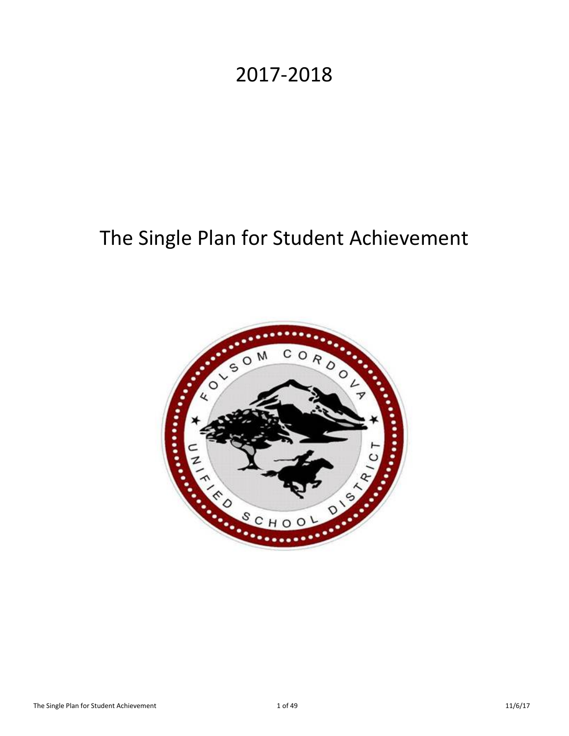# 2017-2018

# The Single Plan for Student Achievement

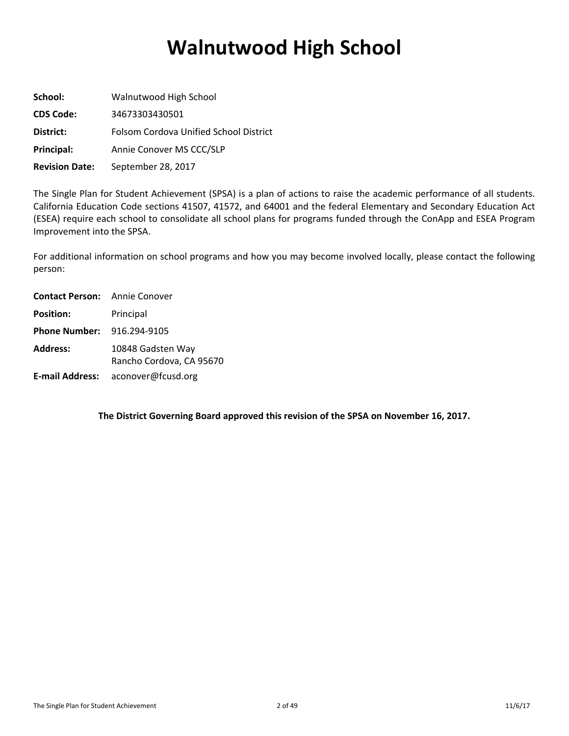# **Walnutwood High School**

| School:               | Walnutwood High School                 |
|-----------------------|----------------------------------------|
| <b>CDS Code:</b>      | 34673303430501                         |
| District:             | Folsom Cordova Unified School District |
| Principal:            | Annie Conover MS CCC/SLP               |
| <b>Revision Date:</b> | September 28, 2017                     |

The Single Plan for Student Achievement (SPSA) is a plan of actions to raise the academic performance of all students. California Education Code sections 41507, 41572, and 64001 and the federal Elementary and Secondary Education Act (ESEA) require each school to consolidate all school plans for programs funded through the ConApp and ESEA Program Improvement into the SPSA.

For additional information on school programs and how you may become involved locally, please contact the following person:

| <b>Contact Person:</b> Annie Conover |                                               |
|--------------------------------------|-----------------------------------------------|
| <b>Position:</b>                     | Principal                                     |
| <b>Phone Number: 916.294-9105</b>    |                                               |
| <b>Address:</b>                      | 10848 Gadsten Way<br>Rancho Cordova, CA 95670 |
|                                      | E-mail Address: aconover@fcusd.org            |

**The District Governing Board approved this revision of the SPSA on November 16, 2017.**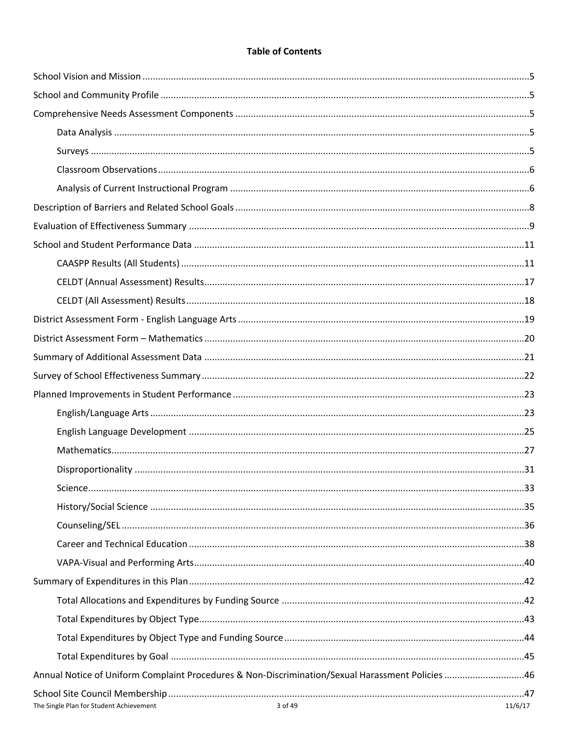# **Table of Contents**

| Annual Notice of Uniform Complaint Procedures & Non-Discrimination/Sexual Harassment Policies 46 |         |
|--------------------------------------------------------------------------------------------------|---------|
|                                                                                                  |         |
| $2 \text{ of } 40$                                                                               | 11/E/17 |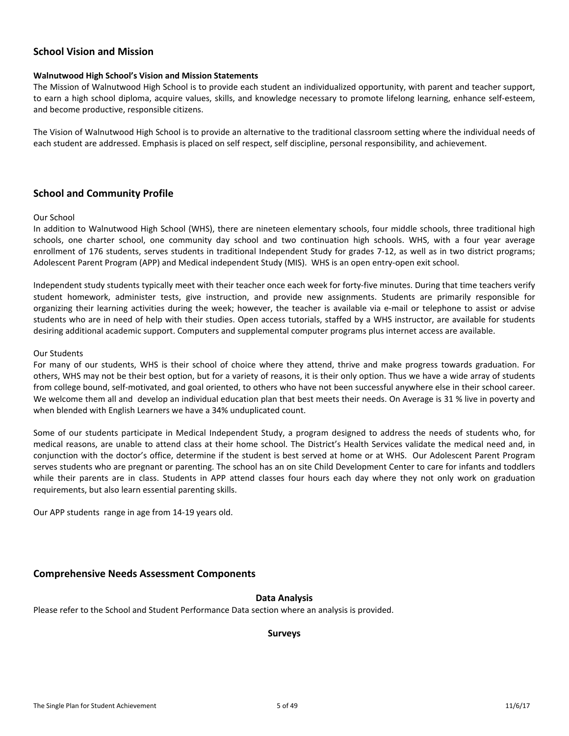#### <span id="page-4-0"></span>**School Vision and Mission**

#### **Walnutwood High School's Vision and Mission Statements**

The Mission of Walnutwood High School is to provide each student an individualized opportunity, with parent and teacher support, to earn a high school diploma, acquire values, skills, and knowledge necessary to promote lifelong learning, enhance self-esteem, and become productive, responsible citizens.

The Vision of Walnutwood High School is to provide an alternative to the traditional classroom setting where the individual needs of each student are addressed. Emphasis is placed on self respect, self discipline, personal responsibility, and achievement.

#### <span id="page-4-1"></span>**School and Community Profile**

#### Our School

In addition to Walnutwood High School (WHS), there are nineteen elementary schools, four middle schools, three traditional high schools, one charter school, one community day school and two continuation high schools. WHS, with a four year average enrollment of 176 students, serves students in traditional Independent Study for grades 7-12, as well as in two district programs; Adolescent Parent Program (APP) and Medical independent Study (MIS). WHS is an open entry-open exit school.

Independent study students typically meet with their teacher once each week for forty-five minutes. During that time teachers verify student homework, administer tests, give instruction, and provide new assignments. Students are primarily responsible for organizing their learning activities during the week; however, the teacher is available via e-mail or telephone to assist or advise students who are in need of help with their studies. Open access tutorials, staffed by a WHS instructor, are available for students desiring additional academic support. Computers and supplemental computer programs plus internet access are available.

#### Our Students

For many of our students, WHS is their school of choice where they attend, thrive and make progress towards graduation. For others, WHS may not be their best option, but for a variety of reasons, it is their only option. Thus we have a wide array of students from college bound, self-motivated, and goal oriented, to others who have not been successful anywhere else in their school career. We welcome them all and develop an individual education plan that best meets their needs. On Average is 31 % live in poverty and when blended with English Learners we have a 34% unduplicated count.

Some of our students participate in Medical Independent Study, a program designed to address the needs of students who, for medical reasons, are unable to attend class at their home school. The District's Health Services validate the medical need and, in conjunction with the doctor's office, determine if the student is best served at home or at WHS. Our Adolescent Parent Program serves students who are pregnant or parenting. The school has an on site Child Development Center to care for infants and toddlers while their parents are in class. Students in APP attend classes four hours each day where they not only work on graduation requirements, but also learn essential parenting skills.

Our APP students range in age from 14-19 years old.

#### <span id="page-4-2"></span>**Comprehensive Needs Assessment Components**

#### <span id="page-4-3"></span>**Data Analysis**

Please refer to the School and Student Performance Data section where an analysis is provided.

#### <span id="page-4-4"></span>**Surveys**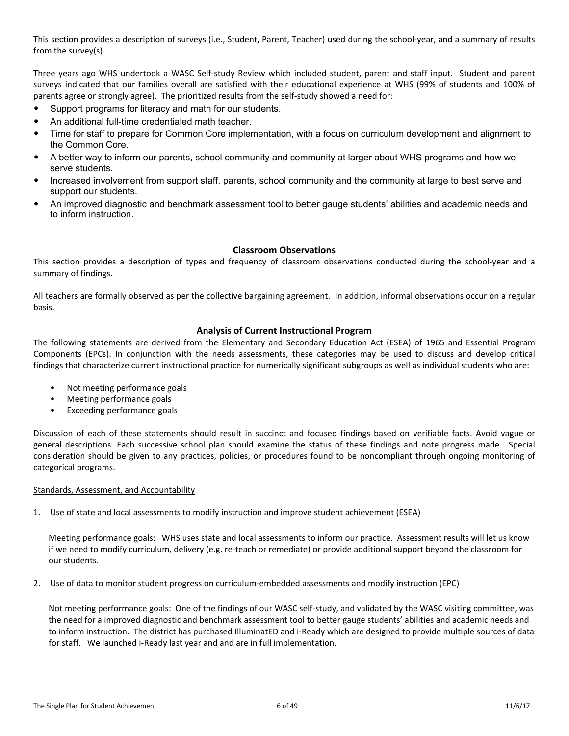This section provides a description of surveys (i.e., Student, Parent, Teacher) used during the school-year, and a summary of results from the survey(s).

Three years ago WHS undertook a WASC Self-study Review which included student, parent and staff input. Student and parent surveys indicated that our families overall are satisfied with their educational experience at WHS (99% of students and 100% of parents agree or strongly agree). The prioritized results from the self-study showed a need for:

- Support programs for literacy and math for our students.
- An additional full-time credentialed math teacher.
- Time for staff to prepare for Common Core implementation, with a focus on curriculum development and alignment to the Common Core.
- A better way to inform our parents, school community and community at larger about WHS programs and how we serve students.
- Increased involvement from support staff, parents, school community and the community at large to best serve and support our students.
- An improved diagnostic and benchmark assessment tool to better gauge students' abilities and academic needs and to inform instruction.

#### <span id="page-5-0"></span>**Classroom Observations**

This section provides a description of types and frequency of classroom observations conducted during the school-year and a summary of findings.

All teachers are formally observed as per the collective bargaining agreement. In addition, informal observations occur on a regular basis.

#### <span id="page-5-1"></span>**Analysis of Current Instructional Program**

The following statements are derived from the Elementary and Secondary Education Act (ESEA) of 1965 and Essential Program Components (EPCs). In conjunction with the needs assessments, these categories may be used to discuss and develop critical findings that characterize current instructional practice for numerically significant subgroups as well as individual students who are:

- Not meeting performance goals
- Meeting performance goals
- Exceeding performance goals

Discussion of each of these statements should result in succinct and focused findings based on verifiable facts. Avoid vague or general descriptions. Each successive school plan should examine the status of these findings and note progress made. Special consideration should be given to any practices, policies, or procedures found to be noncompliant through ongoing monitoring of categorical programs.

#### Standards, Assessment, and Accountability

1. Use of state and local assessments to modify instruction and improve student achievement (ESEA)

Meeting performance goals: WHS uses state and local assessments to inform our practice. Assessment results will let us know if we need to modify curriculum, delivery (e.g. re-teach or remediate) or provide additional support beyond the classroom for our students.

2. Use of data to monitor student progress on curriculum-embedded assessments and modify instruction (EPC)

Not meeting performance goals: One of the findings of our WASC self-study, and validated by the WASC visiting committee, was the need for a improved diagnostic and benchmark assessment tool to better gauge students' abilities and academic needs and to inform instruction. The district has purchased IlluminatED and i-Ready which are designed to provide multiple sources of data for staff. We launched i-Ready last year and and are in full implementation.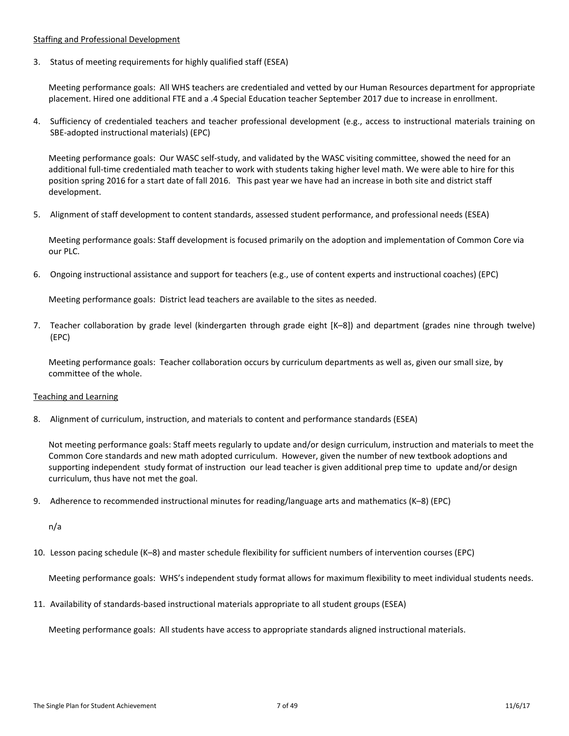#### Staffing and Professional Development

3. Status of meeting requirements for highly qualified staff (ESEA)

Meeting performance goals: All WHS teachers are credentialed and vetted by our Human Resources department for appropriate placement. Hired one additional FTE and a .4 Special Education teacher September 2017 due to increase in enrollment.

4. Sufficiency of credentialed teachers and teacher professional development (e.g., access to instructional materials training on SBE-adopted instructional materials) (EPC)

Meeting performance goals: Our WASC self-study, and validated by the WASC visiting committee, showed the need for an additional full-time credentialed math teacher to work with students taking higher level math. We were able to hire for this position spring 2016 for a start date of fall 2016. This past year we have had an increase in both site and district staff development.

5. Alignment of staff development to content standards, assessed student performance, and professional needs (ESEA)

Meeting performance goals: Staff development is focused primarily on the adoption and implementation of Common Core via our PLC.

6. Ongoing instructional assistance and support for teachers (e.g., use of content experts and instructional coaches) (EPC)

Meeting performance goals: District lead teachers are available to the sites as needed.

7. Teacher collaboration by grade level (kindergarten through grade eight [K–8]) and department (grades nine through twelve) (EPC)

Meeting performance goals: Teacher collaboration occurs by curriculum departments as well as, given our small size, by committee of the whole.

#### Teaching and Learning

8. Alignment of curriculum, instruction, and materials to content and performance standards (ESEA)

Not meeting performance goals: Staff meets regularly to update and/or design curriculum, instruction and materials to meet the Common Core standards and new math adopted curriculum. However, given the number of new textbook adoptions and supporting independent study format of instruction our lead teacher is given additional prep time to update and/or design curriculum, thus have not met the goal.

9. Adherence to recommended instructional minutes for reading/language arts and mathematics (K–8) (EPC)

n/a

10. Lesson pacing schedule (K–8) and master schedule flexibility for sufficient numbers of intervention courses (EPC)

Meeting performance goals: WHS's independent study format allows for maximum flexibility to meet individual students needs.

11. Availability of standards-based instructional materials appropriate to all student groups (ESEA)

Meeting performance goals: All students have access to appropriate standards aligned instructional materials.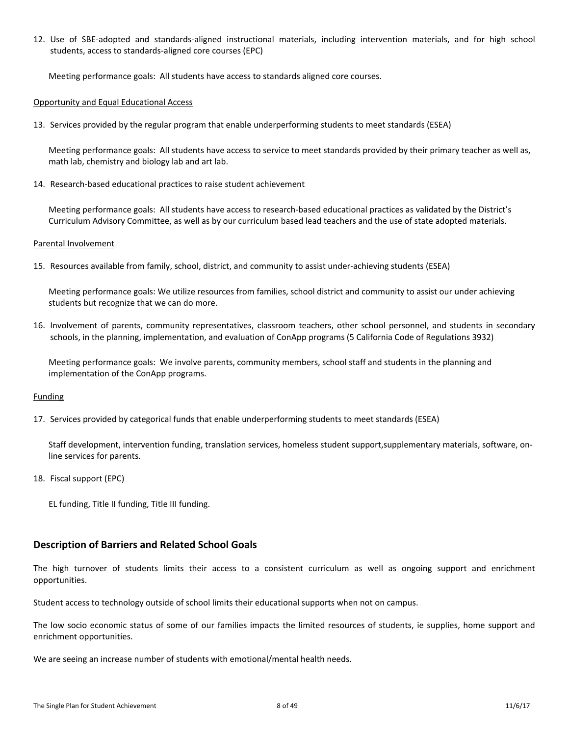12. Use of SBE-adopted and standards-aligned instructional materials, including intervention materials, and for high school students, access to standards-aligned core courses (EPC)

Meeting performance goals: All students have access to standards aligned core courses.

#### Opportunity and Equal Educational Access

13. Services provided by the regular program that enable underperforming students to meet standards (ESEA)

Meeting performance goals: All students have access to service to meet standards provided by their primary teacher as well as, math lab, chemistry and biology lab and art lab.

14. Research-based educational practices to raise student achievement

Meeting performance goals: All students have access to research-based educational practices as validated by the District's Curriculum Advisory Committee, as well as by our curriculum based lead teachers and the use of state adopted materials.

#### Parental Involvement

15. Resources available from family, school, district, and community to assist under-achieving students (ESEA)

Meeting performance goals: We utilize resources from families, school district and community to assist our under achieving students but recognize that we can do more.

16. Involvement of parents, community representatives, classroom teachers, other school personnel, and students in secondary schools, in the planning, implementation, and evaluation of ConApp programs (5 California Code of Regulations 3932)

Meeting performance goals: We involve parents, community members, school staff and students in the planning and implementation of the ConApp programs.

#### Funding

17. Services provided by categorical funds that enable underperforming students to meet standards (ESEA)

Staff development, intervention funding, translation services, homeless student support,supplementary materials, software, online services for parents.

- 18. Fiscal support (EPC)
	- EL funding, Title II funding, Title III funding.

#### <span id="page-7-0"></span>**Description of Barriers and Related School Goals**

The high turnover of students limits their access to a consistent curriculum as well as ongoing support and enrichment opportunities.

Student access to technology outside of school limits their educational supports when not on campus.

The low socio economic status of some of our families impacts the limited resources of students, ie supplies, home support and enrichment opportunities.

We are seeing an increase number of students with emotional/mental health needs.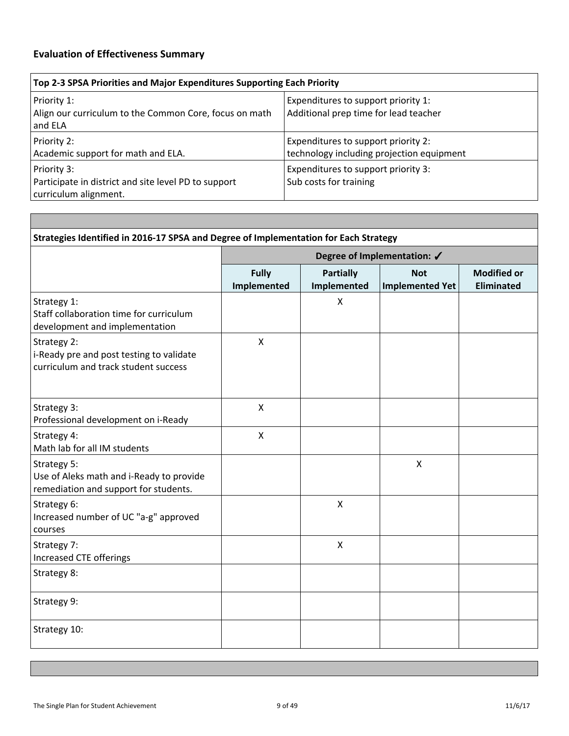<span id="page-8-0"></span>

| Top 2-3 SPSA Priorities and Major Expenditures Supporting Each Priority                      |                                                                                  |  |  |  |  |  |  |
|----------------------------------------------------------------------------------------------|----------------------------------------------------------------------------------|--|--|--|--|--|--|
| Priority 1:<br>Align our curriculum to the Common Core, focus on math<br>and ELA             | Expenditures to support priority 1:<br>Additional prep time for lead teacher     |  |  |  |  |  |  |
| Priority 2:<br>Academic support for math and ELA.                                            | Expenditures to support priority 2:<br>technology including projection equipment |  |  |  |  |  |  |
| Priority 3:<br>Participate in district and site level PD to support<br>curriculum alignment. | Expenditures to support priority 3:<br>Sub costs for training                    |  |  |  |  |  |  |

|                                                                                                  |                             |                                 | Degree of Implementation: √          |                                         |
|--------------------------------------------------------------------------------------------------|-----------------------------|---------------------------------|--------------------------------------|-----------------------------------------|
|                                                                                                  | <b>Fully</b><br>Implemented | <b>Partially</b><br>Implemented | <b>Not</b><br><b>Implemented Yet</b> | <b>Modified or</b><br><b>Eliminated</b> |
| Strategy 1:<br>Staff collaboration time for curriculum<br>development and implementation         |                             | X                               |                                      |                                         |
| Strategy 2:<br>i-Ready pre and post testing to validate<br>curriculum and track student success  | X                           |                                 |                                      |                                         |
| Strategy 3:<br>Professional development on i-Ready                                               | $\pmb{\mathsf{X}}$          |                                 |                                      |                                         |
| Strategy 4:<br>Math lab for all IM students                                                      | $\pmb{\mathsf{X}}$          |                                 |                                      |                                         |
| Strategy 5:<br>Use of Aleks math and i-Ready to provide<br>remediation and support for students. |                             |                                 | $\pmb{\chi}$                         |                                         |
| Strategy 6:<br>Increased number of UC "a-g" approved<br>courses                                  |                             | $\mathsf{X}$                    |                                      |                                         |
| Strategy 7:<br>Increased CTE offerings                                                           |                             | $\pmb{\times}$                  |                                      |                                         |
| Strategy 8:                                                                                      |                             |                                 |                                      |                                         |
| Strategy 9:                                                                                      |                             |                                 |                                      |                                         |
| Strategy 10:                                                                                     |                             |                                 |                                      |                                         |

 $-$ 

٦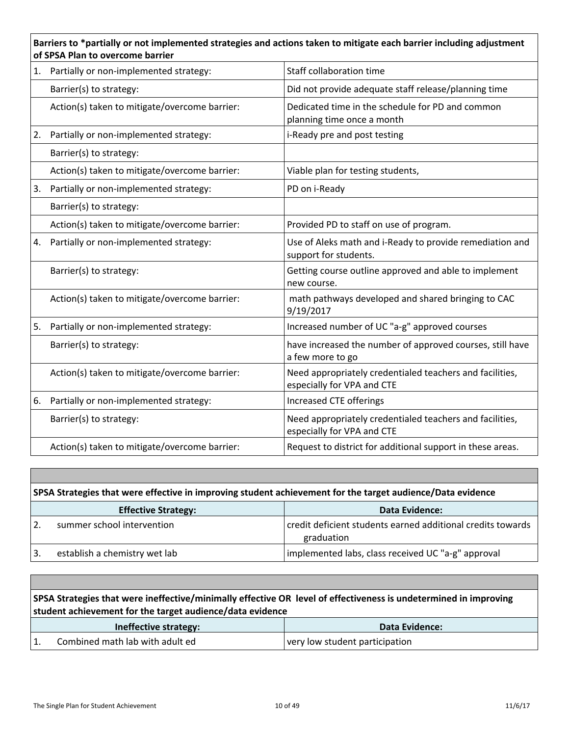# **Barriers to \*partially or not implemented strategies and actions taken to mitigate each barrier including adjustment of SPSA Plan to overcome barrier**

| 1. | Partially or non-implemented strategy:        | Staff collaboration time                                                               |
|----|-----------------------------------------------|----------------------------------------------------------------------------------------|
|    | Barrier(s) to strategy:                       | Did not provide adequate staff release/planning time                                   |
|    | Action(s) taken to mitigate/overcome barrier: | Dedicated time in the schedule for PD and common<br>planning time once a month         |
| 2. | Partially or non-implemented strategy:        | i-Ready pre and post testing                                                           |
|    | Barrier(s) to strategy:                       |                                                                                        |
|    | Action(s) taken to mitigate/overcome barrier: | Viable plan for testing students,                                                      |
| 3. | Partially or non-implemented strategy:        | PD on i-Ready                                                                          |
|    | Barrier(s) to strategy:                       |                                                                                        |
|    | Action(s) taken to mitigate/overcome barrier: | Provided PD to staff on use of program.                                                |
| 4. | Partially or non-implemented strategy:        | Use of Aleks math and i-Ready to provide remediation and<br>support for students.      |
|    | Barrier(s) to strategy:                       | Getting course outline approved and able to implement<br>new course.                   |
|    | Action(s) taken to mitigate/overcome barrier: | math pathways developed and shared bringing to CAC<br>9/19/2017                        |
| 5. | Partially or non-implemented strategy:        | Increased number of UC "a-g" approved courses                                          |
|    | Barrier(s) to strategy:                       | have increased the number of approved courses, still have<br>a few more to go          |
|    | Action(s) taken to mitigate/overcome barrier: | Need appropriately credentialed teachers and facilities,<br>especially for VPA and CTE |
| 6. | Partially or non-implemented strategy:        | Increased CTE offerings                                                                |
|    | Barrier(s) to strategy:                       | Need appropriately credentialed teachers and facilities,<br>especially for VPA and CTE |
|    | Action(s) taken to mitigate/overcome barrier: | Request to district for additional support in these areas.                             |

|   | SPSA Strategies that were effective in improving student achievement for the target audience/Data evidence |                                                                           |  |  |  |  |  |  |  |
|---|------------------------------------------------------------------------------------------------------------|---------------------------------------------------------------------------|--|--|--|--|--|--|--|
|   | <b>Effective Strategy:</b>                                                                                 | <b>Data Evidence:</b>                                                     |  |  |  |  |  |  |  |
|   | summer school intervention                                                                                 | credit deficient students earned additional credits towards<br>graduation |  |  |  |  |  |  |  |
| 3 | establish a chemistry wet lab                                                                              | implemented labs, class received UC "a-g" approval                        |  |  |  |  |  |  |  |

| SPSA Strategies that were ineffective/minimally effective OR level of effectiveness is undetermined in improving<br>student achievement for the target audience/data evidence |                                 |                                |  |  |  |  |
|-------------------------------------------------------------------------------------------------------------------------------------------------------------------------------|---------------------------------|--------------------------------|--|--|--|--|
|                                                                                                                                                                               | Ineffective strategy:           | Data Evidence:                 |  |  |  |  |
|                                                                                                                                                                               | Combined math lab with adult ed | very low student participation |  |  |  |  |

Г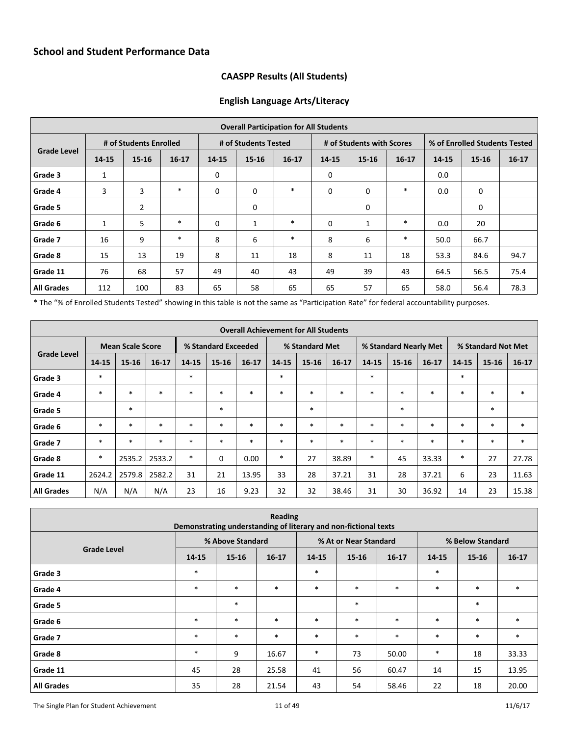## <span id="page-10-1"></span>**CAASPP Results (All Students)**

#### **English Language Arts/Literacy**

<span id="page-10-0"></span>

| <b>Overall Participation for All Students</b> |              |                        |         |             |                      |           |             |                           |           |                               |       |         |
|-----------------------------------------------|--------------|------------------------|---------|-------------|----------------------|-----------|-------------|---------------------------|-----------|-------------------------------|-------|---------|
|                                               |              | # of Students Enrolled |         |             | # of Students Tested |           |             | # of Students with Scores |           | % of Enrolled Students Tested |       |         |
| <b>Grade Level</b>                            | 14-15        | 15-16                  | $16-17$ | 14-15       | $15 - 16$            | $16 - 17$ | 14-15       | $15 - 16$                 | $16 - 17$ | 14-15                         | 15-16 | $16-17$ |
| Grade 3                                       | 1            |                        |         | $\mathbf 0$ |                      |           | 0           |                           |           | 0.0                           |       |         |
| Grade 4                                       | 3            | 3                      | $\ast$  | $\mathbf 0$ | 0                    | $\ast$    | $\mathbf 0$ | 0                         | $\ast$    | 0.0                           | 0     |         |
| Grade 5                                       |              | $\overline{2}$         |         |             | 0                    |           |             | 0                         |           |                               | 0     |         |
| Grade 6                                       | $\mathbf{1}$ | 5                      | $\ast$  | $\mathbf 0$ | 1                    | $\ast$    | $\mathbf 0$ | 1                         | $\ast$    | 0.0                           | 20    |         |
| Grade 7                                       | 16           | 9                      | $\ast$  | 8           | 6                    | $\ast$    | 8           | 6                         | $\ast$    | 50.0                          | 66.7  |         |
| Grade 8                                       | 15           | 13                     | 19      | 8           | 11                   | 18        | 8           | 11                        | 18        | 53.3                          | 84.6  | 94.7    |
| Grade 11                                      | 76           | 68                     | 57      | 49          | 40                   | 43        | 49          | 39                        | 43        | 64.5                          | 56.5  | 75.4    |
| <b>All Grades</b>                             | 112          | 100                    | 83      | 65          | 58                   | 65        | 65          | 57                        | 65        | 58.0                          | 56.4  | 78.3    |

\* The "% of Enrolled Students Tested" showing in this table is not the same as "Participation Rate" for federal accountability purposes.

| <b>Overall Achievement for All Students</b> |        |                         |           |        |                     |           |        |                |           |        |                       |           |           |                    |           |  |
|---------------------------------------------|--------|-------------------------|-----------|--------|---------------------|-----------|--------|----------------|-----------|--------|-----------------------|-----------|-----------|--------------------|-----------|--|
|                                             |        | <b>Mean Scale Score</b> |           |        | % Standard Exceeded |           |        | % Standard Met |           |        | % Standard Nearly Met |           |           | % Standard Not Met |           |  |
| <b>Grade Level</b>                          | 14-15  | $15 - 16$               | $16 - 17$ | 14-15  | 15-16               | $16 - 17$ | 14-15  | 15-16          | $16 - 17$ | 14-15  | $15 - 16$             | $16 - 17$ | $14 - 15$ | $15 - 16$          | $16 - 17$ |  |
| Grade 3                                     | $\ast$ |                         |           | $\ast$ |                     |           | $\ast$ |                |           | $*$    |                       |           | $\ast$    |                    |           |  |
| Grade 4                                     | $\ast$ | $\ast$                  | $\ast$    | $\ast$ | $\ast$              | $\ast$    | $\ast$ | $\ast$         | $\ast$    | $*$    | $\ast$                | $\ast$    | $\ast$    | *                  | $\ast$    |  |
| Grade 5                                     |        | $\ast$                  |           |        | $\ast$              |           |        | $\ast$         |           |        | $\ast$                |           |           | $\ast$             |           |  |
| Grade 6                                     | $\ast$ | $\ast$                  | $\ast$    | $\ast$ | $\ast$              | $\ast$    | $\ast$ | $\ast$         | $\ast$    | $\ast$ | $\ast$                | $\ast$    | $\ast$    | *                  | $\ast$    |  |
| Grade 7                                     | $\ast$ | $\ast$                  | $\ast$    | $\ast$ | $\ast$              | $\ast$    | $\ast$ | $\ast$         | $\ast$    | $*$    | $\ast$                | $\ast$    | $\ast$    | *                  | $\ast$    |  |
| Grade 8                                     | $\ast$ | 2535.2                  | 2533.2    | $\ast$ | 0                   | 0.00      | $\ast$ | 27             | 38.89     | $\ast$ | 45                    | 33.33     | $\ast$    | 27                 | 27.78     |  |
| Grade 11                                    | 2624.2 | 2579.8                  | 2582.2    | 31     | 21                  | 13.95     | 33     | 28             | 37.21     | 31     | 28                    | 37.21     | 6         | 23                 | 11.63     |  |
| <b>All Grades</b>                           | N/A    | N/A                     | N/A       | 23     | 16                  | 9.23      | 32     | 32             | 38.46     | 31     | 30                    | 36.92     | 14        | 23                 | 15.38     |  |

| Reading<br>Demonstrating understanding of literary and non-fictional texts |        |                  |           |        |                       |           |        |                  |         |  |  |
|----------------------------------------------------------------------------|--------|------------------|-----------|--------|-----------------------|-----------|--------|------------------|---------|--|--|
|                                                                            |        | % Above Standard |           |        | % At or Near Standard |           |        | % Below Standard |         |  |  |
| <b>Grade Level</b>                                                         | 14-15  | $15 - 16$        | $16 - 17$ | 14-15  | $15 - 16$             | $16 - 17$ | 14-15  | $15 - 16$        | $16-17$ |  |  |
| Grade 3                                                                    | $\ast$ |                  |           | $\ast$ |                       |           | $\ast$ |                  |         |  |  |
| Grade 4                                                                    | $\ast$ | $\ast$           | $\ast$    | $\ast$ | $\ast$                | $\ast$    | $*$    | $*$              | $\ast$  |  |  |
| Grade 5                                                                    |        | $\ast$           |           |        | $\ast$                |           |        | $\ast$           |         |  |  |
| Grade 6                                                                    | $\ast$ | $\ast$           | $\ast$    | $\ast$ | $\ast$                | $\ast$    | $\ast$ | $*$              | $\ast$  |  |  |
| Grade 7                                                                    | $\ast$ | $\ast$           | $\ast$    | $\ast$ | $\ast$                | $\ast$    | $*$    | $*$              | $\ast$  |  |  |
| Grade 8                                                                    | $\ast$ | 9                | 16.67     | $\ast$ | 73                    | 50.00     | $\ast$ | 18               | 33.33   |  |  |
| Grade 11                                                                   | 45     | 28               | 25.58     | 41     | 56                    | 60.47     | 14     | 15               | 13.95   |  |  |
| <b>All Grades</b>                                                          | 35     | 28               | 21.54     | 43     | 54                    | 58.46     | 22     | 18               | 20.00   |  |  |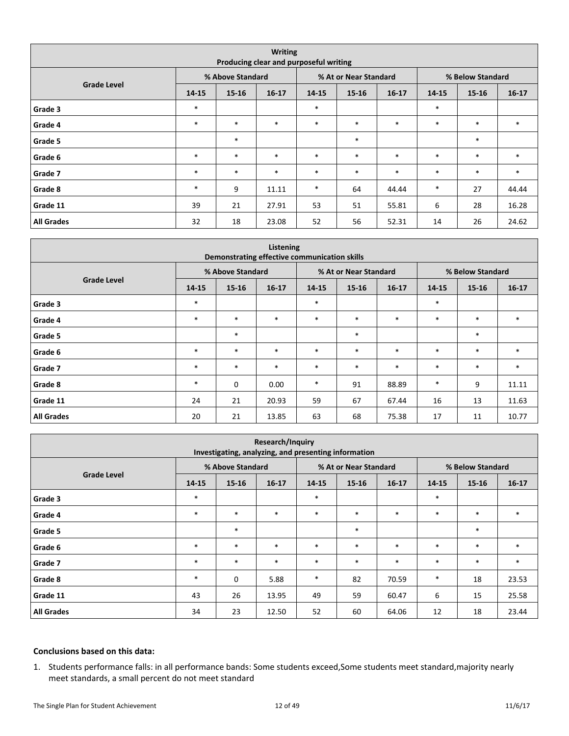|                    |        | Producing clear and purposeful writing | <b>Writing</b> |        |                       |           |        |                  |         |
|--------------------|--------|----------------------------------------|----------------|--------|-----------------------|-----------|--------|------------------|---------|
|                    |        | % Above Standard                       |                |        | % At or Near Standard |           |        | % Below Standard |         |
| <b>Grade Level</b> | 14-15  | 15-16                                  | $16 - 17$      | 14-15  | $15 - 16$             | $16 - 17$ | 14-15  | $15 - 16$        | $16-17$ |
| Grade 3            | $\ast$ |                                        |                | $\ast$ |                       |           | $\ast$ |                  |         |
| Grade 4            | $\ast$ | $\ast$                                 | $\ast$         | $\ast$ | $\ast$                | $\ast$    | $\ast$ | $\ast$           | $\ast$  |
| Grade 5            |        | $\ast$                                 |                |        | $\ast$                |           |        | $\ast$           |         |
| Grade 6            | $\ast$ | $\ast$                                 | $\ast$         | $\ast$ | $\ast$                | $\ast$    | $\ast$ | $\ast$           | $\ast$  |
| Grade 7            | $\ast$ | $\ast$                                 | $\ast$         | $\ast$ | $\ast$                | $\ast$    | $\ast$ | $\ast$           | $\ast$  |
| Grade 8            | $\ast$ | 9                                      | 11.11          | $\ast$ | 64                    | 44.44     | $\ast$ | 27               | 44.44   |
| Grade 11           | 39     | 21                                     | 27.91          | 53     | 51                    | 55.81     | 6      | 28               | 16.28   |
| <b>All Grades</b>  | 32     | 18                                     | 23.08          | 52     | 56                    | 52.31     | 14     | 26               | 24.62   |

|                    |        |                  | Listening<br>Demonstrating effective communication skills |        |                       |           |        |                  |           |
|--------------------|--------|------------------|-----------------------------------------------------------|--------|-----------------------|-----------|--------|------------------|-----------|
|                    |        | % Above Standard |                                                           |        | % At or Near Standard |           |        | % Below Standard |           |
| <b>Grade Level</b> | 14-15  | $15 - 16$        | $16 - 17$                                                 | 14-15  | $15 - 16$             | $16 - 17$ | 14-15  | $15 - 16$        | $16 - 17$ |
| Grade 3            | $\ast$ |                  |                                                           | $\ast$ |                       |           | $\ast$ |                  |           |
| Grade 4            | $\ast$ | $\ast$           | $\ast$                                                    | $\ast$ | $\ast$                | $\ast$    | $\ast$ | $\ast$           | $\ast$    |
| Grade 5            |        | $\ast$           |                                                           |        | $\ast$                |           |        | $\ast$           |           |
| Grade 6            | $\ast$ | $\ast$           | $\ast$                                                    | $\ast$ | $\ast$                | $\ast$    | $*$    | $\ast$           | $\ast$    |
| Grade 7            | $\ast$ | $\ast$           | $\ast$                                                    | $\ast$ | $\ast$                | $\ast$    | $*$    | $\ast$           | $\ast$    |
| Grade 8            | $\ast$ | $\mathbf 0$      | 0.00                                                      | $\ast$ | 91                    | 88.89     | $\ast$ | 9                | 11.11     |
| Grade 11           | 24     | 21               | 20.93                                                     | 59     | 67                    | 67.44     | 16     | 13               | 11.63     |
| <b>All Grades</b>  | 20     | 21               | 13.85                                                     | 63     | 68                    | 75.38     | 17     | 11               | 10.77     |

|                    |        |                  | Research/Inquiry<br>Investigating, analyzing, and presenting information |        |                       |           |        |                  |         |
|--------------------|--------|------------------|--------------------------------------------------------------------------|--------|-----------------------|-----------|--------|------------------|---------|
|                    |        | % Above Standard |                                                                          |        | % At or Near Standard |           |        | % Below Standard |         |
| <b>Grade Level</b> | 14-15  | $15 - 16$        | $16-17$                                                                  | 14-15  | $15 - 16$             | $16 - 17$ | 14-15  | $15 - 16$        | $16-17$ |
| Grade 3            | $\ast$ |                  |                                                                          | $\ast$ |                       |           | $\ast$ |                  |         |
| Grade 4            | $\ast$ | $\ast$           | $\ast$                                                                   | $\ast$ | $\ast$                | $\ast$    | $*$    | $\ast$           | $\ast$  |
| Grade 5            |        | $\ast$           |                                                                          |        | $\ast$                |           |        | $\ast$           |         |
| Grade 6            | $\ast$ | $\ast$           | $\ast$                                                                   | $\ast$ | $\ast$                | $\ast$    | $*$    | $\ast$           | $\ast$  |
| Grade 7            | $\ast$ | $\ast$           | $\ast$                                                                   | $\ast$ | $\ast$                | $\ast$    | $*$    | $\ast$           | $\ast$  |
| Grade 8            | $\ast$ | 0                | 5.88                                                                     | $\ast$ | 82                    | 70.59     | $\ast$ | 18               | 23.53   |
| Grade 11           | 43     | 26               | 13.95                                                                    | 49     | 59                    | 60.47     | 6      | 15               | 25.58   |
| <b>All Grades</b>  | 34     | 23               | 12.50                                                                    | 52     | 60                    | 64.06     | 12     | 18               | 23.44   |

#### **Conclusions based on this data:**

1. Students performance falls: in all performance bands: Some students exceed,Some students meet standard,majority nearly meet standards, a small percent do not meet standard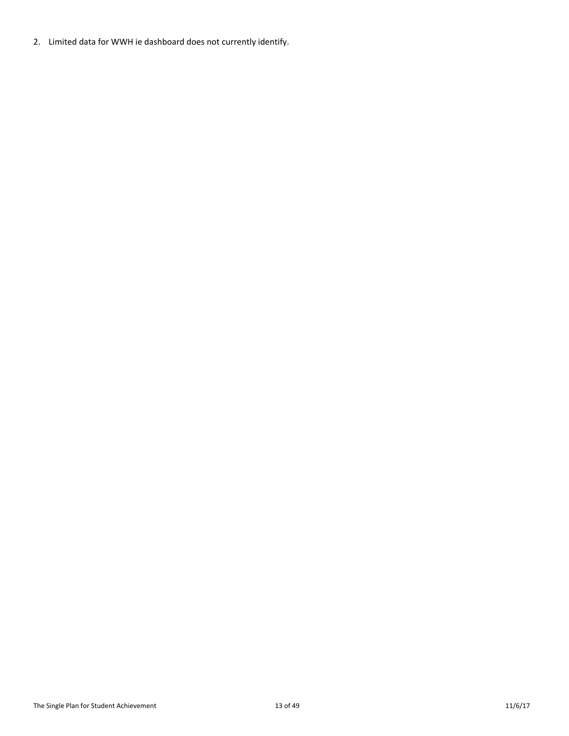2. Limited data for WWH ie dashboard does not currently identify.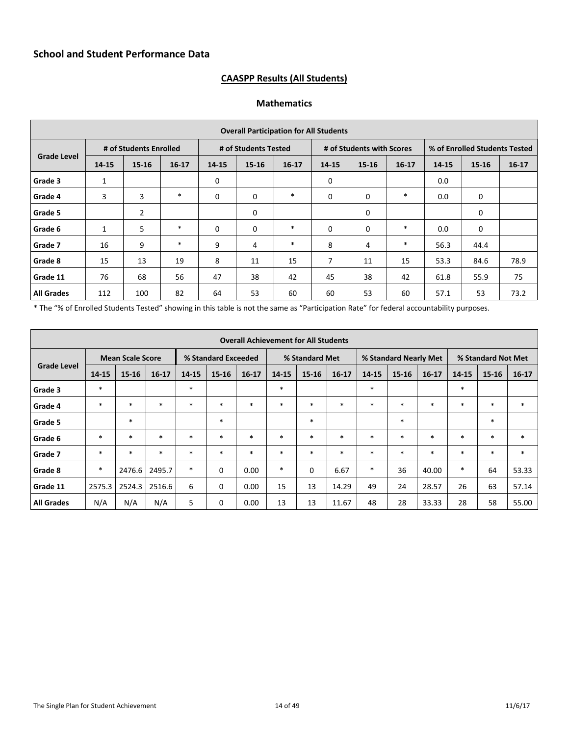# **CAASPP Results (All Students)**

#### **Mathematics**

|                    |       |                        |           |              |                      | <b>Overall Participation for All Students</b> |       |                           |           |       |                               |         |
|--------------------|-------|------------------------|-----------|--------------|----------------------|-----------------------------------------------|-------|---------------------------|-----------|-------|-------------------------------|---------|
|                    |       | # of Students Enrolled |           |              | # of Students Tested |                                               |       | # of Students with Scores |           |       | % of Enrolled Students Tested |         |
| <b>Grade Level</b> | 14-15 | $15 - 16$              | $16 - 17$ | 14-15        | $15 - 16$            | $16 - 17$                                     | 14-15 | $15 - 16$                 | $16 - 17$ | 14-15 | 15-16                         | $16-17$ |
| Grade 3            | 1     |                        |           | 0            |                      |                                               | 0     |                           |           | 0.0   |                               |         |
| Grade 4            | 3     | 3                      | $\ast$    | $\mathbf 0$  | 0                    | $\ast$                                        | 0     | $\mathbf 0$               | $\ast$    | 0.0   | $\mathbf 0$                   |         |
| Grade 5            |       | $\overline{2}$         |           |              | 0                    |                                               |       | 0                         |           |       | 0                             |         |
| Grade 6            | 1     | 5                      | $\ast$    | $\mathbf{0}$ | 0                    | $\ast$                                        | 0     | $\mathbf 0$               | $\ast$    | 0.0   | $\mathbf 0$                   |         |
| Grade 7            | 16    | 9                      | $\ast$    | 9            | 4                    | $\ast$                                        | 8     | 4                         | $\ast$    | 56.3  | 44.4                          |         |
| Grade 8            | 15    | 13                     | 19        | 8            | 11                   | 15                                            | 7     | 11                        | 15        | 53.3  | 84.6                          | 78.9    |
| Grade 11           | 76    | 68                     | 56        | 47           | 38                   | 42                                            | 45    | 38                        | 42        | 61.8  | 55.9                          | 75      |
| <b>All Grades</b>  | 112   | 100                    | 82        | 64           | 53                   | 60                                            | 60    | 53                        | 60        | 57.1  | 53                            | 73.2    |

\* The "% of Enrolled Students Tested" showing in this table is not the same as "Participation Rate" for federal accountability purposes.

|                    |        |                         |           |        |                     | <b>Overall Achievement for All Students</b> |        |                |           |        |                       |           |           |                    |           |
|--------------------|--------|-------------------------|-----------|--------|---------------------|---------------------------------------------|--------|----------------|-----------|--------|-----------------------|-----------|-----------|--------------------|-----------|
|                    |        | <b>Mean Scale Score</b> |           |        | % Standard Exceeded |                                             |        | % Standard Met |           |        | % Standard Nearly Met |           |           | % Standard Not Met |           |
| <b>Grade Level</b> | 14-15  | $15 - 16$               | $16 - 17$ | 14-15  | $15 - 16$           | $16-17$                                     | 14-15  | $15 - 16$      | $16 - 17$ | 14-15  | $15 - 16$             | $16 - 17$ | $14 - 15$ | $15 - 16$          | $16 - 17$ |
| Grade 3            | $\ast$ |                         |           | $\ast$ |                     |                                             | $\ast$ |                |           | $\ast$ |                       |           | $\ast$    |                    |           |
| Grade 4            | $\ast$ | $\ast$                  | $\ast$    | $\ast$ | $\ast$              | $\ast$                                      | $\ast$ | $\ast$         | $\ast$    | $\ast$ | $\ast$                | $\ast$    | $\ast$    | $\ast$             | $\ast$    |
| Grade 5            |        | $\ast$                  |           |        | $\ast$              |                                             |        | $\ast$         |           |        | $\ast$                |           |           | $\ast$             |           |
| Grade 6            | $\ast$ | $\ast$                  | $\ast$    | $\ast$ | $\ast$              | $\ast$                                      | $\ast$ | $*$            | $\ast$    | $\ast$ | $\ast$                | $\ast$    | $\ast$    | $\ast$             | $\ast$    |
| Grade 7            | $\ast$ | $\ast$                  | $\ast$    | $\ast$ | $\ast$              | $\ast$                                      | $\ast$ | $*$            | $\ast$    | $\ast$ | $\ast$                | $\ast$    | $\ast$    | $\ast$             | $\ast$    |
| Grade 8            | $\ast$ | 2476.6                  | 2495.7    | $\ast$ | 0                   | 0.00                                        | $\ast$ | $\mathbf 0$    | 6.67      | $\ast$ | 36                    | 40.00     | $\ast$    | 64                 | 53.33     |
| Grade 11           | 2575.3 | 2524.3                  | 2516.6    | 6      | 0                   | 0.00                                        | 15     | 13             | 14.29     | 49     | 24                    | 28.57     | 26        | 63                 | 57.14     |
| <b>All Grades</b>  | N/A    | N/A                     | N/A       | 5      | $\mathbf 0$         | 0.00                                        | 13     | 13             | 11.67     | 48     | 28                    | 33.33     | 28        | 58                 | 55.00     |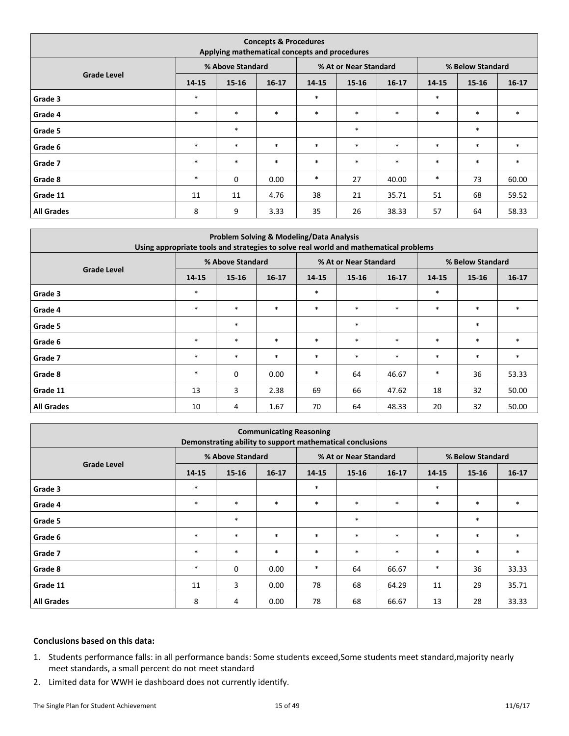|                    |        | Applying mathematical concepts and procedures | <b>Concepts &amp; Procedures</b> |        |                       |           |        |                  |           |
|--------------------|--------|-----------------------------------------------|----------------------------------|--------|-----------------------|-----------|--------|------------------|-----------|
|                    |        | % Above Standard                              |                                  |        | % At or Near Standard |           |        | % Below Standard |           |
| <b>Grade Level</b> | 14-15  | 15-16                                         | $16 - 17$                        | 14-15  | $15 - 16$             | $16 - 17$ | 14-15  | $15 - 16$        | $16 - 17$ |
| Grade 3            | $\ast$ |                                               |                                  | $\ast$ |                       |           | $\ast$ |                  |           |
| Grade 4            | $\ast$ | $\ast$                                        | $\ast$                           | $\ast$ | $\ast$                | $\ast$    | $\ast$ | $\ast$           | $\ast$    |
| Grade 5            |        | $\ast$                                        |                                  |        | $\ast$                |           |        | $\ast$           |           |
| Grade 6            | $\ast$ | $\ast$                                        | $\ast$                           | $\ast$ | $\ast$                | $\ast$    | $\ast$ | $\ast$           | $\ast$    |
| Grade 7            | $\ast$ | $\ast$                                        | $\ast$                           | $\ast$ | $\ast$                | $\ast$    | $\ast$ | $\ast$           | $\ast$    |
| Grade 8            | $\ast$ | 0                                             | 0.00                             | $\ast$ | 27                    | 40.00     | $\ast$ | 73               | 60.00     |
| Grade 11           | 11     | 11                                            | 4.76                             | 38     | 21                    | 35.71     | 51     | 68               | 59.52     |
| <b>All Grades</b>  | 8      | 9                                             | 3.33                             | 35     | 26                    | 38.33     | 57     | 64               | 58.33     |

| Using appropriate tools and strategies to solve real world and mathematical problems |        |                  |         | Problem Solving & Modeling/Data Analysis |                       |           |        |                  |           |
|--------------------------------------------------------------------------------------|--------|------------------|---------|------------------------------------------|-----------------------|-----------|--------|------------------|-----------|
|                                                                                      |        | % Above Standard |         |                                          | % At or Near Standard |           |        | % Below Standard |           |
| <b>Grade Level</b>                                                                   | 14-15  | $15 - 16$        | $16-17$ | $14 - 15$                                | $15 - 16$             | $16 - 17$ | 14-15  | $15 - 16$        | $16 - 17$ |
| Grade 3                                                                              | $\ast$ |                  |         | $\ast$                                   |                       |           | $\ast$ |                  |           |
| Grade 4                                                                              | $\ast$ | $\ast$           | $\ast$  | $\ast$                                   | $\ast$                | $\ast$    | $\ast$ | $\ast$           |           |
| Grade 5                                                                              |        | $\ast$           |         |                                          | $\ast$                |           |        | $\ast$           |           |
| Grade 6                                                                              | $\ast$ | $\ast$           | $\ast$  | $\ast$                                   | $\ast$                | $\ast$    | $*$    | $\ast$           | $\ast$    |
| Grade 7                                                                              | $\ast$ | $\ast$           | $\ast$  | $\ast$                                   | $\ast$                | $\ast$    | $*$    | $\ast$           | $\ast$    |
| Grade 8                                                                              | $\ast$ | 0                | 0.00    | $\ast$                                   | 64                    | 46.67     | $\ast$ | 36               | 53.33     |
| Grade 11                                                                             | 13     | 3                | 2.38    | 69                                       | 66                    | 47.62     | 18     | 32               | 50.00     |
| <b>All Grades</b>                                                                    | 10     | 4                | 1.67    | 70                                       | 64                    | 48.33     | 20     | 32               | 50.00     |

|                    |        |                  | <b>Communicating Reasoning</b><br>Demonstrating ability to support mathematical conclusions |        |                       |         |        |                  |           |
|--------------------|--------|------------------|---------------------------------------------------------------------------------------------|--------|-----------------------|---------|--------|------------------|-----------|
|                    |        | % Above Standard |                                                                                             |        | % At or Near Standard |         |        | % Below Standard |           |
| <b>Grade Level</b> | 14-15  | $15 - 16$        | $16-17$                                                                                     | 14-15  | $15 - 16$             | $16-17$ | 14-15  | $15 - 16$        | $16 - 17$ |
| Grade 3            | $\ast$ |                  |                                                                                             | $\ast$ |                       |         | $\ast$ |                  |           |
| Grade 4            | $\ast$ | $\ast$           | $\ast$                                                                                      | $\ast$ | $\ast$                | $\ast$  | $\ast$ | $\ast$           | $\ast$    |
| Grade 5            |        | $\ast$           |                                                                                             |        | $\ast$                |         |        | $\ast$           |           |
| Grade 6            | $\ast$ | $\ast$           | $\ast$                                                                                      | $\ast$ | $\ast$                | $\ast$  | $\ast$ | $\ast$           | $\ast$    |
| Grade 7            | $\ast$ | $\ast$           | $\ast$                                                                                      | $\ast$ | $\ast$                | $\ast$  | $\ast$ | $\ast$           | $\ast$    |
| Grade 8            | $\ast$ | $\mathbf 0$      | 0.00                                                                                        | $\ast$ | 64                    | 66.67   | $\ast$ | 36               | 33.33     |
| Grade 11           | 11     | 3                | 0.00                                                                                        | 78     | 68                    | 64.29   | 11     | 29               | 35.71     |
| <b>All Grades</b>  | 8      | 4                | 0.00                                                                                        | 78     | 68                    | 66.67   | 13     | 28               | 33.33     |

#### **Conclusions based on this data:**

- 1. Students performance falls: in all performance bands: Some students exceed,Some students meet standard,majority nearly meet standards, a small percent do not meet standard
- 2. Limited data for WWH ie dashboard does not currently identify.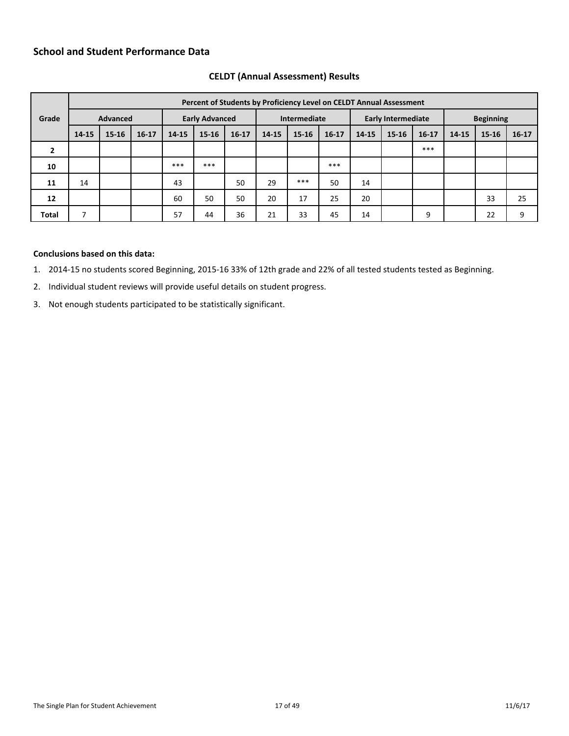# **School and Student Performance Data**

|              |           |                 |           |       |                       | Percent of Students by Proficiency Level on CELDT Annual Assessment |       |              |           |       |                           |           |       |                  |         |
|--------------|-----------|-----------------|-----------|-------|-----------------------|---------------------------------------------------------------------|-------|--------------|-----------|-------|---------------------------|-----------|-------|------------------|---------|
| Grade        |           | <b>Advanced</b> |           |       | <b>Early Advanced</b> |                                                                     |       | Intermediate |           |       | <b>Early Intermediate</b> |           |       | <b>Beginning</b> |         |
|              | $14 - 15$ | $15 - 16$       | $16 - 17$ | 14-15 | $15 - 16$             | $16-17$                                                             | 14-15 | 15-16        | $16 - 17$ | 14-15 | $15 - 16$                 | $16 - 17$ | 14-15 | 15-16            | $16-17$ |
| $\mathbf{2}$ |           |                 |           |       |                       |                                                                     |       |              |           |       |                           | ***       |       |                  |         |
| 10           |           |                 |           | ***   | ***                   |                                                                     |       |              | ***       |       |                           |           |       |                  |         |
| 11           | 14        |                 |           | 43    |                       | 50                                                                  | 29    | ***          | 50        | 14    |                           |           |       |                  |         |
| 12           |           |                 |           | 60    | 50                    | 50                                                                  | 20    | 17           | 25        | 20    |                           |           |       | 33               | 25      |
| <b>Total</b> |           |                 |           | 57    | 44                    | 36                                                                  | 21    | 33           | 45        | 14    |                           | 9         |       | 22               | 9       |

#### <span id="page-16-0"></span>**CELDT (Annual Assessment) Results**

#### **Conclusions based on this data:**

1. 2014-15 no students scored Beginning, 2015-16 33% of 12th grade and 22% of all tested students tested as Beginning.

- 2. Individual student reviews will provide useful details on student progress.
- 3. Not enough students participated to be statistically significant.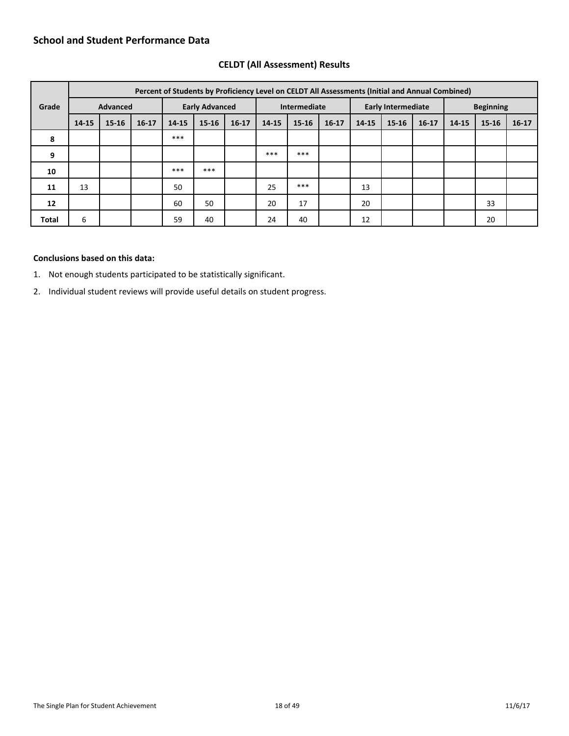## **School and Student Performance Data**

|       |           |                 |           |       |                       |           | Percent of Students by Proficiency Level on CELDT All Assessments (Initial and Annual Combined) |              |           |       |                           |           |       |                  |         |
|-------|-----------|-----------------|-----------|-------|-----------------------|-----------|-------------------------------------------------------------------------------------------------|--------------|-----------|-------|---------------------------|-----------|-------|------------------|---------|
| Grade |           | <b>Advanced</b> |           |       | <b>Early Advanced</b> |           |                                                                                                 | Intermediate |           |       | <b>Early Intermediate</b> |           |       | <b>Beginning</b> |         |
|       | $14 - 15$ | $15 - 16$       | $16 - 17$ | 14-15 | $15-16$               | $16 - 17$ | 14-15                                                                                           | 15-16        | $16 - 17$ | 14-15 | $15 - 16$                 | $16 - 17$ | 14-15 | 15-16            | $16-17$ |
| 8     |           |                 |           | ***   |                       |           |                                                                                                 |              |           |       |                           |           |       |                  |         |
| 9     |           |                 |           |       |                       |           | ***                                                                                             | ***          |           |       |                           |           |       |                  |         |
| 10    |           |                 |           | ***   | ***                   |           |                                                                                                 |              |           |       |                           |           |       |                  |         |
| 11    | 13        |                 |           | 50    |                       |           | 25                                                                                              | ***          |           | 13    |                           |           |       |                  |         |
| 12    |           |                 |           | 60    | 50                    |           | 20                                                                                              | 17           |           | 20    |                           |           |       | 33               |         |
| Total | 6         |                 |           | 59    | 40                    |           | 24                                                                                              | 40           |           | 12    |                           |           |       | 20               |         |

## <span id="page-17-0"></span>**CELDT (All Assessment) Results**

#### **Conclusions based on this data:**

1. Not enough students participated to be statistically significant.

2. Individual student reviews will provide useful details on student progress.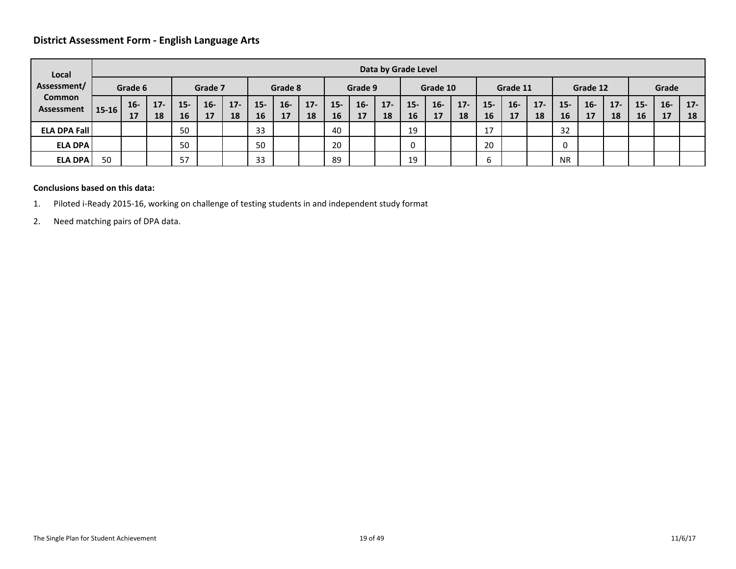## **District Assessment Form - English Language Arts**

| Local                       |           |             |              |             |              |              |              |             |              |              |             | Data by Grade Level |             |             |              |                     |             |              |             |             |              |             |             |              |
|-----------------------------|-----------|-------------|--------------|-------------|--------------|--------------|--------------|-------------|--------------|--------------|-------------|---------------------|-------------|-------------|--------------|---------------------|-------------|--------------|-------------|-------------|--------------|-------------|-------------|--------------|
| Assessment/                 |           | Grade 6     |              |             | Grade 7      |              |              | Grade 8     |              |              | Grade 9     |                     |             | Grade 10    |              |                     | Grade 11    |              |             | Grade 12    |              |             | Grade       |              |
| <b>Common</b><br>Assessment | $15 - 16$ | $16-$<br>17 | $17 -$<br>18 | $15-$<br>16 | $16 -$<br>17 | $17 -$<br>18 | $15 -$<br>16 | $16-$<br>17 | $17 -$<br>18 | $15 -$<br>16 | $16-$<br>17 | $17 -$<br>18        | $15-$<br>16 | $16-$<br>17 | $17 -$<br>18 | $15 -$<br><b>16</b> | $16-$<br>17 | $17 -$<br>18 | $15-$<br>16 | $16-$<br>17 | $17 -$<br>18 | $15-$<br>16 | $16-$<br>17 | $17 -$<br>18 |
| <b>ELA DPA Fall</b>         |           |             |              | 50          |              |              | 33           |             |              | 40           |             |                     | 19          |             |              | 17                  |             |              | 32          |             |              |             |             |              |
| <b>ELA DPA</b>              |           |             |              | 50          |              |              | 50           |             |              | 20           |             |                     | 0           |             |              | 20                  |             |              | 0           |             |              |             |             |              |
| <b>ELA DPA</b>              | 50        |             |              | 57          |              |              | 33           |             |              | 89           |             |                     | 19          |             |              | b                   |             |              | <b>NR</b>   |             |              |             |             |              |

#### **Conclusions based on this data:**

- <span id="page-18-0"></span>1. Piloted i-Ready 2015-16, working on challenge of testing students in and independent study format
- 2. Need matching pairs of DPA data.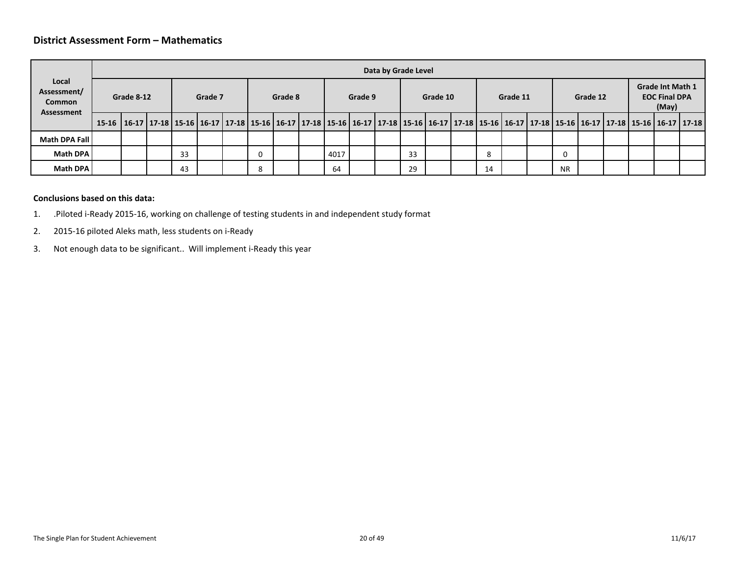#### **District Assessment Form – Mathematics**

|                                                     |                                                                                                                                                                         |            |    |         |   |         |      |         | Data by Grade Level |    |          |    |          |           |          |  |                                                          |  |
|-----------------------------------------------------|-------------------------------------------------------------------------------------------------------------------------------------------------------------------------|------------|----|---------|---|---------|------|---------|---------------------|----|----------|----|----------|-----------|----------|--|----------------------------------------------------------|--|
| Local<br>Assessment/<br><b>Common</b><br>Assessment |                                                                                                                                                                         | Grade 8-12 |    | Grade 7 |   | Grade 8 |      | Grade 9 |                     |    | Grade 10 |    | Grade 11 |           | Grade 12 |  | <b>Grade Int Math 1</b><br><b>EOC Final DPA</b><br>(May) |  |
|                                                     | 15-16 16-17 17-18 15-16 16-17 17-18 15-16 16-17 17-18 16-17 17-18 16-17 17-18 15-16 16-17 17-18 15-16 16-17 17-18 15-16 16-17 17-18 15-16 16-17 17-18 15-16 16-17 17-18 |            |    |         |   |         |      |         |                     |    |          |    |          |           |          |  |                                                          |  |
| Math DPA Fall                                       |                                                                                                                                                                         |            |    |         |   |         |      |         |                     |    |          |    |          |           |          |  |                                                          |  |
| <b>Math DPA</b>                                     |                                                                                                                                                                         |            | 33 |         | 0 |         | 4017 |         |                     | 33 |          | 8  |          | $\Omega$  |          |  |                                                          |  |
| Math DPA                                            |                                                                                                                                                                         |            | 43 |         | 8 |         | 64   |         |                     | 29 |          | 14 |          | <b>NR</b> |          |  |                                                          |  |
|                                                     |                                                                                                                                                                         |            |    |         |   |         |      |         |                     |    |          |    |          |           |          |  |                                                          |  |

#### <span id="page-19-0"></span>**Conclusions based on this data:**

- 1. .Piloted i-Ready 2015-16, working on challenge of testing students in and independent study format
- 2. 2015-16 piloted Aleks math, less students on i-Ready
- 3. Not enough data to be significant.. Will implement i-Ready this year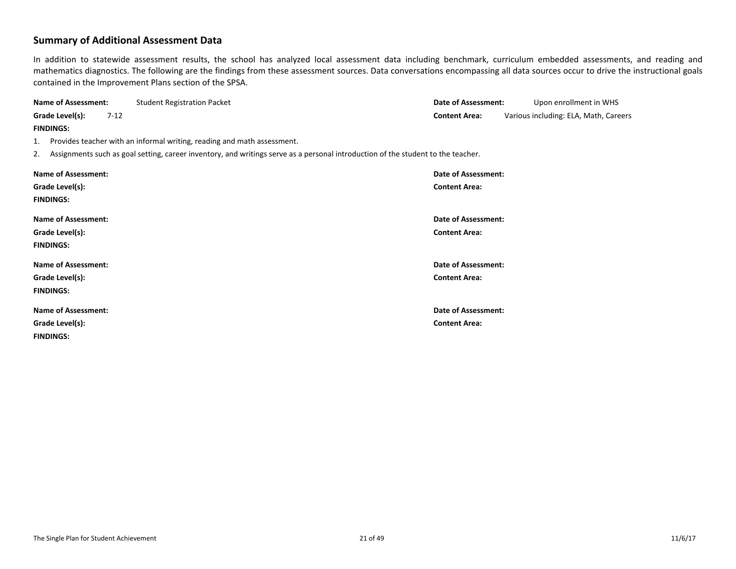## **Summary of Additional Assessment Data**

In addition to statewide assessment results, the school has analyzed local assessment data including benchmark, curriculum embedded assessments, and reading and mathematics diagnostics. The following are the findings from these assessment sources. Data conversations encompassing all data sources occur to drive the instructional goals contained in the Improvement Plans section of the SPSA.

<span id="page-20-0"></span>

| <b>Name of Assessment:</b> | <b>Student Registration Packet</b>                                                                                                  | <b>Date of Assessment:</b> | Upon enrollment in WHS                |
|----------------------------|-------------------------------------------------------------------------------------------------------------------------------------|----------------------------|---------------------------------------|
| Grade Level(s):<br>$7-12$  |                                                                                                                                     | <b>Content Area:</b>       | Various including: ELA, Math, Careers |
| <b>FINDINGS:</b>           |                                                                                                                                     |                            |                                       |
| 1.                         | Provides teacher with an informal writing, reading and math assessment.                                                             |                            |                                       |
|                            | 2. Assignments such as goal setting, career inventory, and writings serve as a personal introduction of the student to the teacher. |                            |                                       |
| <b>Name of Assessment:</b> |                                                                                                                                     | Date of Assessment:        |                                       |
| Grade Level(s):            |                                                                                                                                     | <b>Content Area:</b>       |                                       |
| <b>FINDINGS:</b>           |                                                                                                                                     |                            |                                       |
| <b>Name of Assessment:</b> |                                                                                                                                     | Date of Assessment:        |                                       |
| Grade Level(s):            |                                                                                                                                     | <b>Content Area:</b>       |                                       |
| <b>FINDINGS:</b>           |                                                                                                                                     |                            |                                       |
| <b>Name of Assessment:</b> |                                                                                                                                     | Date of Assessment:        |                                       |
| Grade Level(s):            |                                                                                                                                     | <b>Content Area:</b>       |                                       |
| <b>FINDINGS:</b>           |                                                                                                                                     |                            |                                       |
| <b>Name of Assessment:</b> |                                                                                                                                     | Date of Assessment:        |                                       |
| Grade Level(s):            |                                                                                                                                     | <b>Content Area:</b>       |                                       |
| <b>FINDINGS:</b>           |                                                                                                                                     |                            |                                       |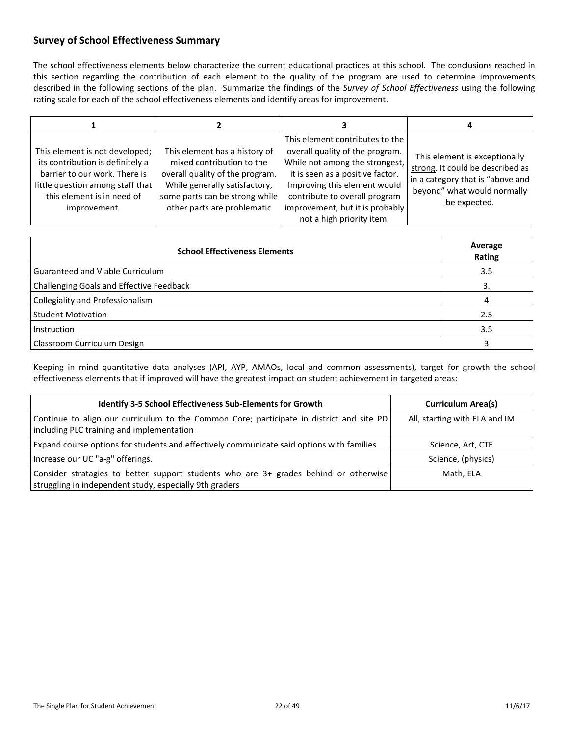# <span id="page-21-0"></span>**Survey of School Effectiveness Summary**

The school effectiveness elements below characterize the current educational practices at this school. The conclusions reached in this section regarding the contribution of each element to the quality of the program are used to determine improvements described in the following sections of the plan. Summarize the findings of the *Survey of School Effectiveness* using the following rating scale for each of the school effectiveness elements and identify areas for improvement.

| This element is not developed;<br>its contribution is definitely a<br>barrier to our work. There is<br>little question among staff that<br>this element is in need of<br>improvement. | This element has a history of<br>mixed contribution to the<br>overall quality of the program.<br>While generally satisfactory,<br>some parts can be strong while<br>other parts are problematic | This element contributes to the<br>overall quality of the program.<br>While not among the strongest,<br>it is seen as a positive factor.<br>Improving this element would<br>contribute to overall program<br>improvement, but it is probably<br>not a high priority item. | This element is exceptionally<br>strong. It could be described as<br>in a category that is "above and<br>beyond" what would normally<br>be expected. |
|---------------------------------------------------------------------------------------------------------------------------------------------------------------------------------------|-------------------------------------------------------------------------------------------------------------------------------------------------------------------------------------------------|---------------------------------------------------------------------------------------------------------------------------------------------------------------------------------------------------------------------------------------------------------------------------|------------------------------------------------------------------------------------------------------------------------------------------------------|

| <b>School Effectiveness Elements</b>     | Average<br>Rating |
|------------------------------------------|-------------------|
| Guaranteed and Viable Curriculum         | 3.5               |
| Challenging Goals and Effective Feedback | 3.                |
| Collegiality and Professionalism         | 4                 |
| <b>Student Motivation</b>                | 2.5               |
| <b>Instruction</b>                       | 3.5               |
| Classroom Curriculum Design              |                   |

Keeping in mind quantitative data analyses (API, AYP, AMAOs, local and common assessments), target for growth the school effectiveness elements that if improved will have the greatest impact on student achievement in targeted areas:

| Identify 3-5 School Effectiveness Sub-Elements for Growth                                                                                       | <b>Curriculum Area(s)</b>     |
|-------------------------------------------------------------------------------------------------------------------------------------------------|-------------------------------|
| Continue to align our curriculum to the Common Core; participate in district and site PD<br>including PLC training and implementation           | All, starting with ELA and IM |
| Expand course options for students and effectively communicate said options with families                                                       | Science, Art, CTE             |
| Increase our UC "a-g" offerings.                                                                                                                | Science, (physics)            |
| Consider stratagies to better support students who are 3+ grades behind or otherwise<br>struggling in independent study, especially 9th graders | Math, ELA                     |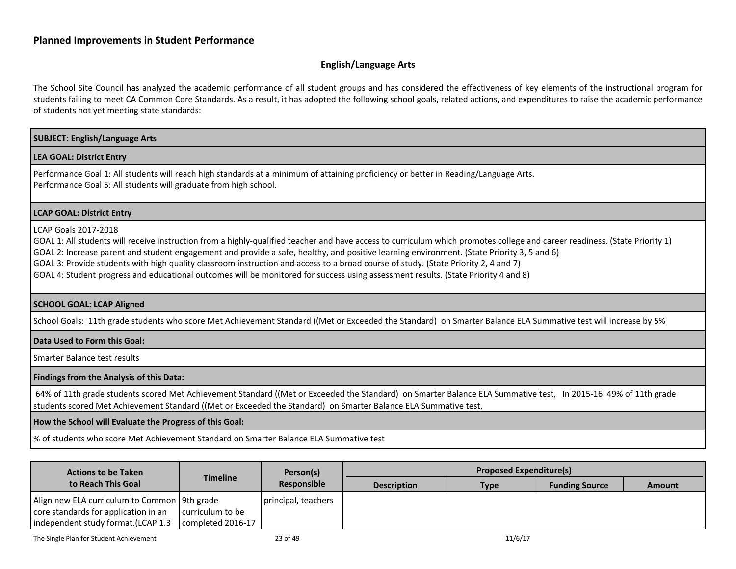#### <span id="page-22-1"></span>**English/Language Arts**

The School Site Council has analyzed the academic performance of all student groups and has considered the effectiveness of key elements of the instructional program for students failing to meet CA Common Core Standards. As a result, it has adopted the following school goals, related actions, and expenditures to raise the academic performance of students not yet meeting state standards:

# <span id="page-22-0"></span>**SUBJECT: English/Language Arts LEA GOAL: District Entry** Performance Goal 1: All students will reach high standards at a minimum of attaining proficiency or better in Reading/Language Arts. Performance Goal 5: All students will graduate from high school. **LCAP GOAL: District Entry** LCAP Goals 2017-2018 GOAL 1: All students will receive instruction from a highly-qualified teacher and have access to curriculum which promotes college and career readiness. (State Priority 1) GOAL 2: Increase parent and student engagement and provide a safe, healthy, and positive learning environment. (State Priority 3, 5 and 6) GOAL 3: Provide students with high quality classroom instruction and access to a broad course of study. (State Priority 2, 4 and 7) GOAL 4: Student progress and educational outcomes will be monitored for success using assessment results. (State Priority 4 and 8) **SCHOOL GOAL: LCAP Aligned** School Goals: 11th grade students who score Met Achievement Standard ((Met or Exceeded the Standard) on Smarter Balance ELA Summative test will increase by 5% **Data Used to Form this Goal:** Smarter Balance test results **Findings from the Analysis of this Data:** 64% of 11th grade students scored Met Achievement Standard ((Met or Exceeded the Standard) on Smarter Balance ELA Summative test, In 2015-16 49% of 11th grade students scored Met Achievement Standard ((Met or Exceeded the Standard) on Smarter Balance ELA Summative test, **How the School will Evaluate the Progress of this Goal:** % of students who score Met Achievement Standard on Smarter Balance ELA Summative test

| <b>Actions to be Taken</b>                                                                                                    | <b>Timeline</b>                       | Person(s)           | <b>Proposed Expenditure(s)</b> |             |                       |               |
|-------------------------------------------------------------------------------------------------------------------------------|---------------------------------------|---------------------|--------------------------------|-------------|-----------------------|---------------|
| to Reach This Goal                                                                                                            |                                       | Responsible         | <b>Description</b>             | <b>Type</b> | <b>Funding Source</b> | <b>Amount</b> |
| Align new ELA curriculum to Common   9th grade<br>core standards for application in an<br>independent study format. (LCAP 1.3 | curriculum to be<br>completed 2016-17 | principal, teachers |                                |             |                       |               |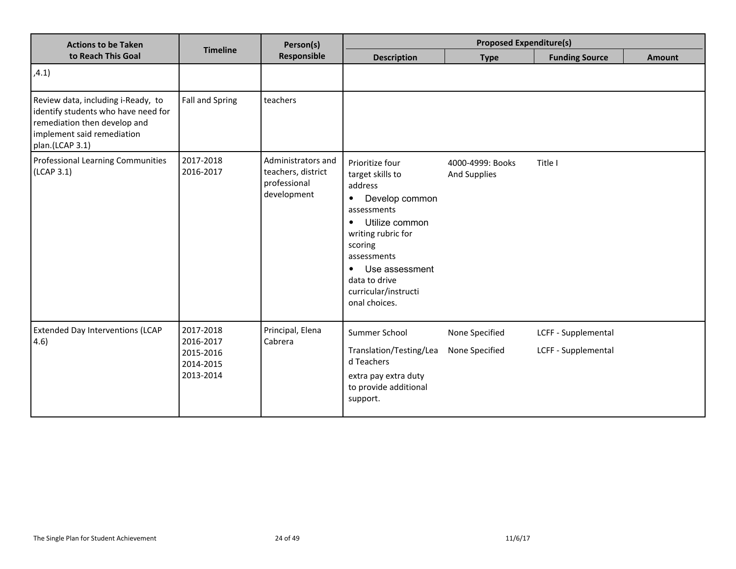| <b>Actions to be Taken</b>                                                                                                                                 |                                                               | Person(s)                                                               | <b>Proposed Expenditure(s)</b>                                                                                                                                                                                                                                       |                                  |                                            |               |
|------------------------------------------------------------------------------------------------------------------------------------------------------------|---------------------------------------------------------------|-------------------------------------------------------------------------|----------------------------------------------------------------------------------------------------------------------------------------------------------------------------------------------------------------------------------------------------------------------|----------------------------------|--------------------------------------------|---------------|
| to Reach This Goal                                                                                                                                         | <b>Timeline</b>                                               | Responsible                                                             | <b>Description</b>                                                                                                                                                                                                                                                   | <b>Type</b>                      | <b>Funding Source</b>                      | <b>Amount</b> |
| ,4.1)                                                                                                                                                      |                                                               |                                                                         |                                                                                                                                                                                                                                                                      |                                  |                                            |               |
| Review data, including i-Ready, to<br>identify students who have need for<br>remediation then develop and<br>implement said remediation<br>plan.(LCAP 3.1) | <b>Fall and Spring</b>                                        | teachers                                                                |                                                                                                                                                                                                                                                                      |                                  |                                            |               |
| <b>Professional Learning Communities</b><br>(LCAP 3.1)                                                                                                     | 2017-2018<br>2016-2017                                        | Administrators and<br>teachers, district<br>professional<br>development | Prioritize four<br>target skills to<br>address<br>Develop common<br>$\bullet$<br>assessments<br>Utilize common<br>$\bullet$<br>writing rubric for<br>scoring<br>assessments<br>Use assessment<br>$\bullet$<br>data to drive<br>curricular/instructi<br>onal choices. | 4000-4999: Books<br>And Supplies | Title I                                    |               |
| <b>Extended Day Interventions (LCAP</b><br>4.6)                                                                                                            | 2017-2018<br>2016-2017<br>2015-2016<br>2014-2015<br>2013-2014 | Principal, Elena<br>Cabrera                                             | Summer School<br>Translation/Testing/Lea<br>d Teachers<br>extra pay extra duty<br>to provide additional<br>support.                                                                                                                                                  | None Specified<br>None Specified | LCFF - Supplemental<br>LCFF - Supplemental |               |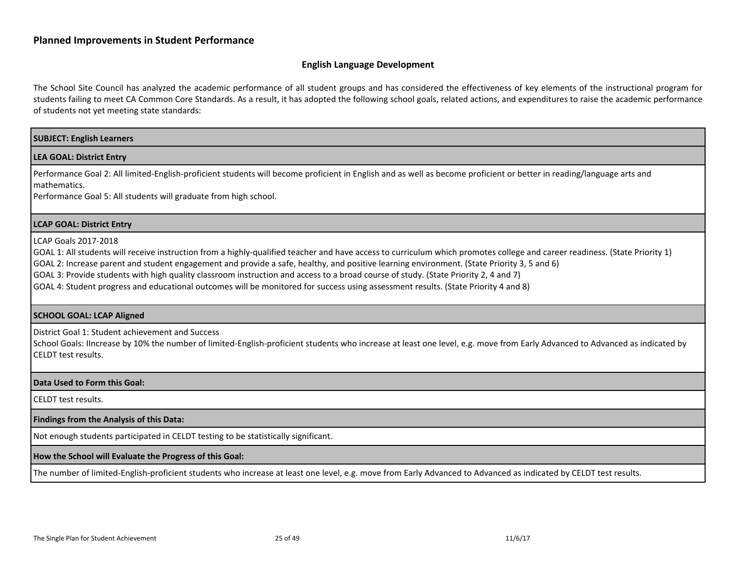#### <span id="page-24-0"></span>**English Language Development**

The School Site Council has analyzed the academic performance of all student groups and has considered the effectiveness of key elements of the instructional program for students failing to meet CA Common Core Standards. As a result, it has adopted the following school goals, related actions, and expenditures to raise the academic performance of students not yet meeting state standards:

#### **SUBJECT: English Learners**

#### **LEA GOAL: District Entry**

Performance Goal 2: All limited-English-proficient students will become proficient in English and as well as become proficient or better in reading/language arts and mathematics.

Performance Goal 5: All students will graduate from high school.

#### **LCAP GOAL: District Entry**

LCAP Goals 2017-2018

GOAL 1: All students will receive instruction from a highly-qualified teacher and have access to curriculum which promotes college and career readiness. (State Priority 1)

GOAL 2: Increase parent and student engagement and provide a safe, healthy, and positive learning environment. (State Priority 3, 5 and 6)

GOAL 3: Provide students with high quality classroom instruction and access to a broad course of study. (State Priority 2, 4 and 7)

GOAL 4: Student progress and educational outcomes will be monitored for success using assessment results. (State Priority 4 and 8)

#### **SCHOOL GOAL: LCAP Aligned**

District Goal 1: Student achievement and Success

School Goals: IIncrease by 10% the number of limited-English-proficient students who increase at least one level, e.g. move from Early Advanced to Advanced as indicated by CELDT test results.

#### **Data Used to Form this Goal:**

CELDT test results.

#### **Findings from the Analysis of this Data:**

Not enough students participated in CELDT testing to be statistically significant.

#### **How the School will Evaluate the Progress of this Goal:**

The number of limited-English-proficient students who increase at least one level, e.g. move from Early Advanced to Advanced as indicated by CELDT test results.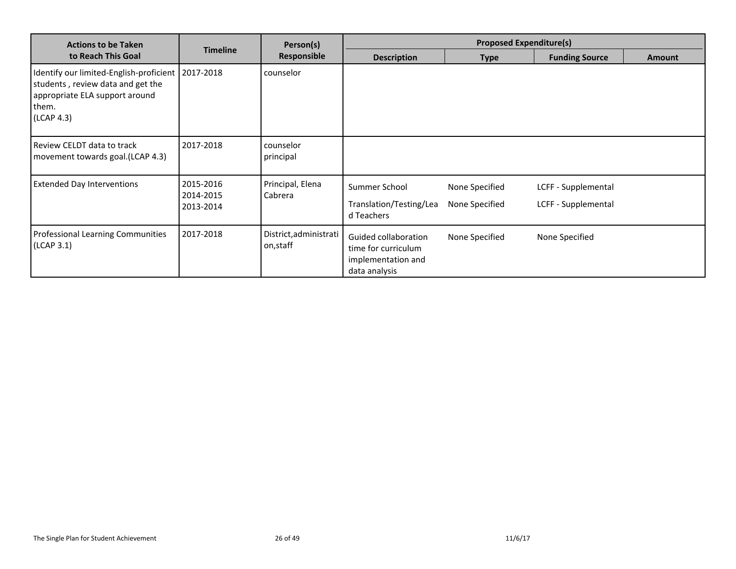| <b>Actions to be Taken</b>                                                                                                            |                                     | Person(s)                           | <b>Proposed Expenditure(s)</b>                                                     |                                  |                                            |               |
|---------------------------------------------------------------------------------------------------------------------------------------|-------------------------------------|-------------------------------------|------------------------------------------------------------------------------------|----------------------------------|--------------------------------------------|---------------|
| to Reach This Goal                                                                                                                    | <b>Timeline</b>                     | Responsible                         | <b>Description</b>                                                                 | <b>Type</b>                      | <b>Funding Source</b>                      | <b>Amount</b> |
| Identify our limited-English-proficient<br>students, review data and get the<br>appropriate ELA support around<br>them.<br>(LCAP 4.3) | 2017-2018                           | counselor                           |                                                                                    |                                  |                                            |               |
| Review CELDT data to track<br>movement towards goal.(LCAP 4.3)                                                                        | 2017-2018                           | counselor<br>principal              |                                                                                    |                                  |                                            |               |
| <b>Extended Day Interventions</b>                                                                                                     | 2015-2016<br>2014-2015<br>2013-2014 | Principal, Elena<br>Cabrera         | Summer School<br>Translation/Testing/Lea<br>d Teachers                             | None Specified<br>None Specified | LCFF - Supplemental<br>LCFF - Supplemental |               |
| Professional Learning Communities<br>(LCAP 3.1)                                                                                       | 2017-2018                           | District, administrati<br>on, staff | Guided collaboration<br>time for curriculum<br>implementation and<br>data analysis | None Specified                   | None Specified                             |               |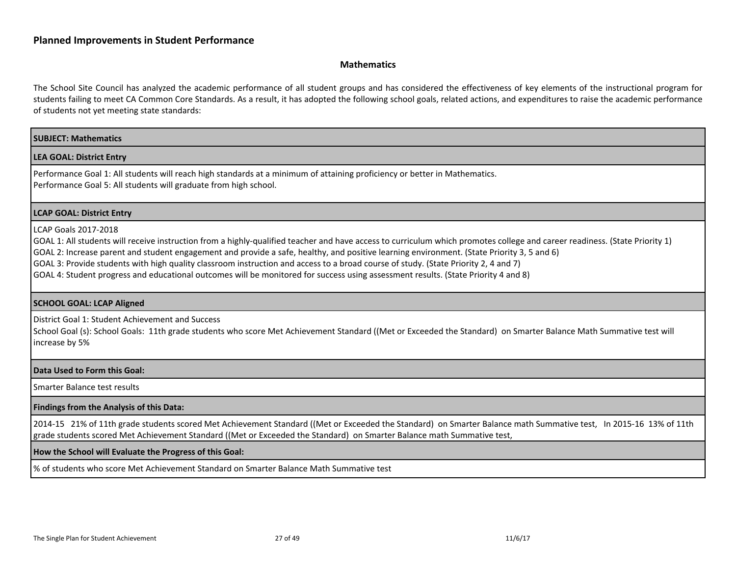#### <span id="page-26-0"></span>**Mathematics**

The School Site Council has analyzed the academic performance of all student groups and has considered the effectiveness of key elements of the instructional program for students failing to meet CA Common Core Standards. As a result, it has adopted the following school goals, related actions, and expenditures to raise the academic performance of students not yet meeting state standards:

#### **SUBJECT: Mathematics**

#### **LEA GOAL: District Entry**

Performance Goal 1: All students will reach high standards at a minimum of attaining proficiency or better in Mathematics. Performance Goal 5: All students will graduate from high school.

#### **LCAP GOAL: District Entry**

#### LCAP Goals 2017-2018

GOAL 1: All students will receive instruction from a highly-qualified teacher and have access to curriculum which promotes college and career readiness. (State Priority 1)

GOAL 2: Increase parent and student engagement and provide a safe, healthy, and positive learning environment. (State Priority 3, 5 and 6)

GOAL 3: Provide students with high quality classroom instruction and access to a broad course of study. (State Priority 2, 4 and 7)

GOAL 4: Student progress and educational outcomes will be monitored for success using assessment results. (State Priority 4 and 8)

#### **SCHOOL GOAL: LCAP Aligned**

District Goal 1: Student Achievement and Success

School Goal (s): School Goals: 11th grade students who score Met Achievement Standard ((Met or Exceeded the Standard) on Smarter Balance Math Summative test will increase by 5%

#### **Data Used to Form this Goal:**

Smarter Balance test results

#### **Findings from the Analysis of this Data:**

2014-15 21% of 11th grade students scored Met Achievement Standard ((Met or Exceeded the Standard) on Smarter Balance math Summative test, In 2015-16 13% of 11th grade students scored Met Achievement Standard ((Met or Exceeded the Standard) on Smarter Balance math Summative test,

#### **How the School will Evaluate the Progress of this Goal:**

% of students who score Met Achievement Standard on Smarter Balance Math Summative test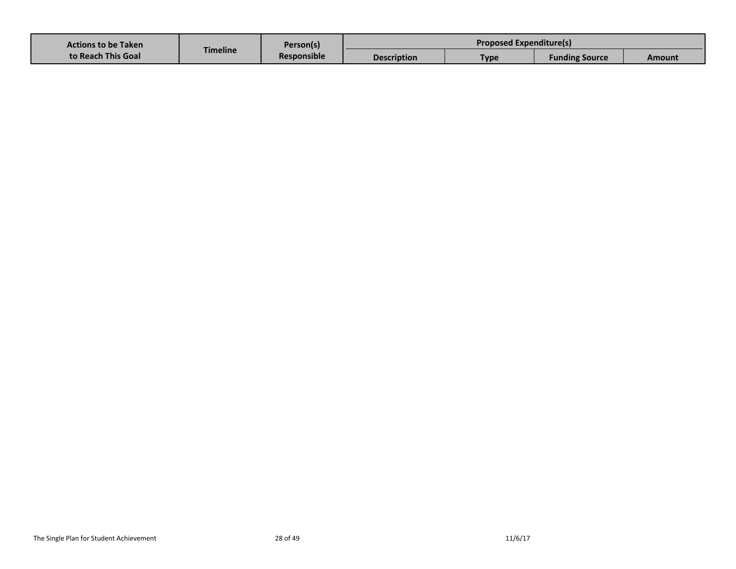| <b>Actions to be Taken</b><br>to Reach This Goal | Timeline | Person(s)<br><b>Responsible</b> | <b>Proposed Expenditure(s)</b> |             |                       |        |
|--------------------------------------------------|----------|---------------------------------|--------------------------------|-------------|-----------------------|--------|
|                                                  |          |                                 | <b>Description</b>             | <b>Type</b> | <b>Funding Source</b> | Amount |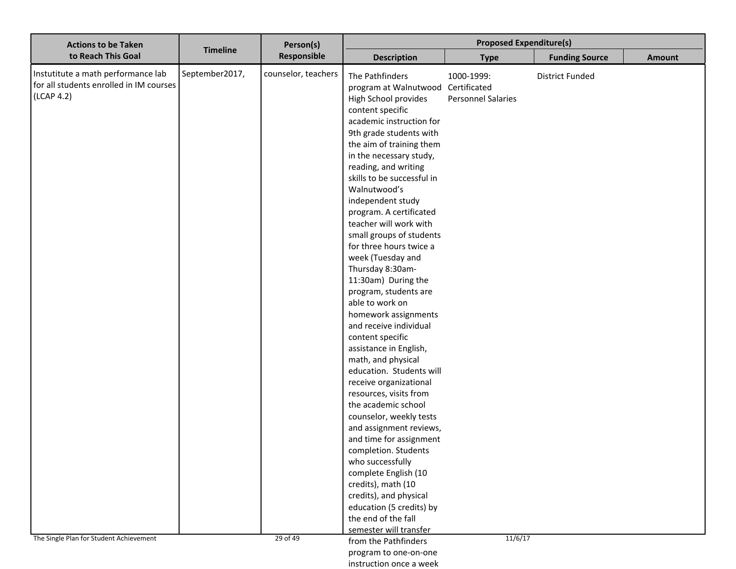| <b>Actions to be Taken</b>                                                                                                             |                 | Person(s)                       | <b>Proposed Expenditure(s)</b>                                                                                                                                                                                                                                                                                                                                                                                                                                                                                                                                                                                                                                                                                                                                                                                                                                                                                                                                                                                                                                            |                                                    |                        |               |
|----------------------------------------------------------------------------------------------------------------------------------------|-----------------|---------------------------------|---------------------------------------------------------------------------------------------------------------------------------------------------------------------------------------------------------------------------------------------------------------------------------------------------------------------------------------------------------------------------------------------------------------------------------------------------------------------------------------------------------------------------------------------------------------------------------------------------------------------------------------------------------------------------------------------------------------------------------------------------------------------------------------------------------------------------------------------------------------------------------------------------------------------------------------------------------------------------------------------------------------------------------------------------------------------------|----------------------------------------------------|------------------------|---------------|
| to Reach This Goal                                                                                                                     | <b>Timeline</b> | Responsible                     | <b>Description</b>                                                                                                                                                                                                                                                                                                                                                                                                                                                                                                                                                                                                                                                                                                                                                                                                                                                                                                                                                                                                                                                        | <b>Type</b>                                        | <b>Funding Source</b>  | <b>Amount</b> |
| Instutitute a math performance lab<br>for all students enrolled in IM courses<br>(LCAP 4.2)<br>The Single Plan for Student Achievement | September2017,  | counselor, teachers<br>29 of 49 | The Pathfinders<br>program at Walnutwood Certificated<br>High School provides<br>content specific<br>academic instruction for<br>9th grade students with<br>the aim of training them<br>in the necessary study,<br>reading, and writing<br>skills to be successful in<br>Walnutwood's<br>independent study<br>program. A certificated<br>teacher will work with<br>small groups of students<br>for three hours twice a<br>week (Tuesday and<br>Thursday 8:30am-<br>11:30am) During the<br>program, students are<br>able to work on<br>homework assignments<br>and receive individual<br>content specific<br>assistance in English,<br>math, and physical<br>education. Students will<br>receive organizational<br>resources, visits from<br>the academic school<br>counselor, weekly tests<br>and assignment reviews,<br>and time for assignment<br>completion. Students<br>who successfully<br>complete English (10<br>credits), math (10<br>credits), and physical<br>education (5 credits) by<br>the end of the fall<br>semester will transfer<br>from the Pathfinders | 1000-1999:<br><b>Personnel Salaries</b><br>11/6/17 | <b>District Funded</b> |               |
|                                                                                                                                        |                 |                                 | program to one-on-one                                                                                                                                                                                                                                                                                                                                                                                                                                                                                                                                                                                                                                                                                                                                                                                                                                                                                                                                                                                                                                                     |                                                    |                        |               |

instruction once a week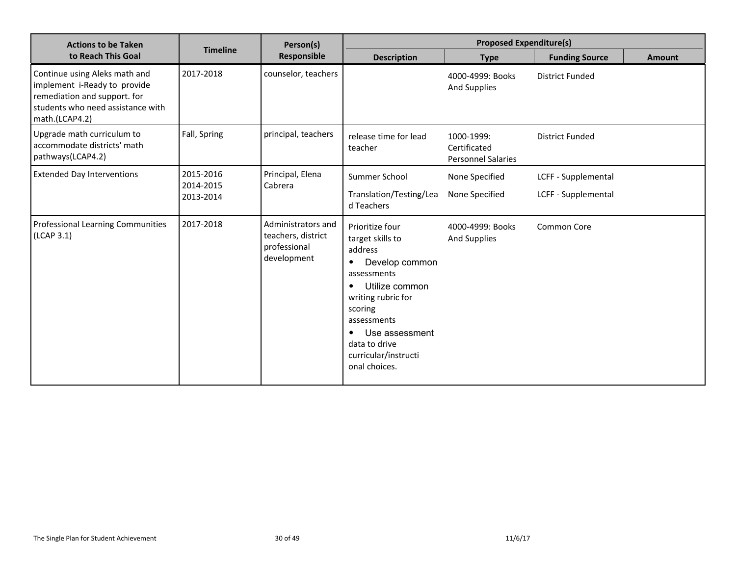| <b>Actions to be Taken</b>                                                                                                                           |                                     | Person(s)<br><b>Responsible</b>                                         | <b>Proposed Expenditure(s)</b>                                                                                                                                                                                                                                       |                                                         |                        |               |
|------------------------------------------------------------------------------------------------------------------------------------------------------|-------------------------------------|-------------------------------------------------------------------------|----------------------------------------------------------------------------------------------------------------------------------------------------------------------------------------------------------------------------------------------------------------------|---------------------------------------------------------|------------------------|---------------|
| to Reach This Goal                                                                                                                                   | <b>Timeline</b>                     |                                                                         | <b>Description</b>                                                                                                                                                                                                                                                   | <b>Type</b>                                             | <b>Funding Source</b>  | <b>Amount</b> |
| Continue using Aleks math and<br>implement i-Ready to provide<br>remediation and support. for<br>students who need assistance with<br>math.(LCAP4.2) | 2017-2018                           | counselor, teachers                                                     |                                                                                                                                                                                                                                                                      | 4000-4999: Books<br><b>And Supplies</b>                 | <b>District Funded</b> |               |
| Upgrade math curriculum to<br>accommodate districts' math<br>pathways(LCAP4.2)                                                                       | Fall, Spring                        | principal, teachers                                                     | release time for lead<br>teacher                                                                                                                                                                                                                                     | 1000-1999:<br>Certificated<br><b>Personnel Salaries</b> | <b>District Funded</b> |               |
| <b>Extended Day Interventions</b>                                                                                                                    | 2015-2016<br>2014-2015<br>2013-2014 | Principal, Elena<br>Cabrera                                             | Summer School                                                                                                                                                                                                                                                        | None Specified                                          | LCFF - Supplemental    |               |
|                                                                                                                                                      |                                     |                                                                         | Translation/Testing/Lea<br>d Teachers                                                                                                                                                                                                                                | None Specified                                          | LCFF - Supplemental    |               |
| <b>Professional Learning Communities</b><br>(LCAP 3.1)                                                                                               | 2017-2018                           | Administrators and<br>teachers, district<br>professional<br>development | Prioritize four<br>target skills to<br>address<br>Develop common<br>$\bullet$<br>assessments<br>Utilize common<br>$\bullet$<br>writing rubric for<br>scoring<br>assessments<br>Use assessment<br>$\bullet$<br>data to drive<br>curricular/instructi<br>onal choices. | 4000-4999: Books<br><b>And Supplies</b>                 | Common Core            |               |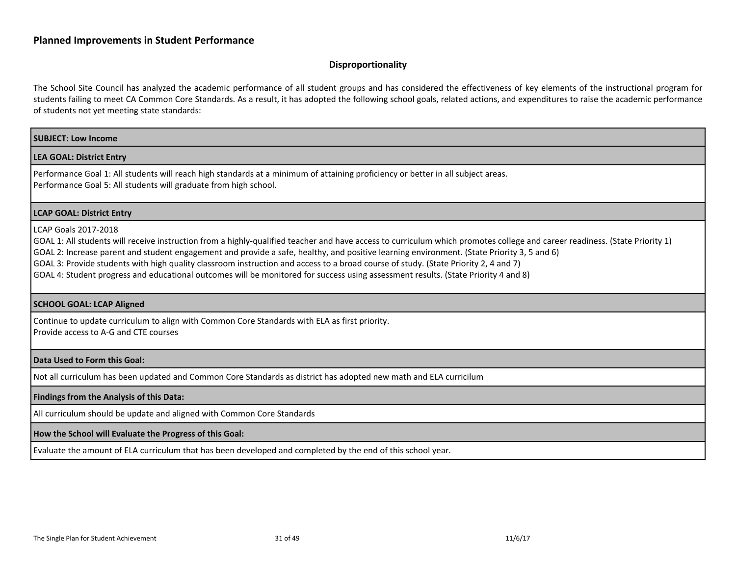#### <span id="page-30-0"></span>**Disproportionality**

The School Site Council has analyzed the academic performance of all student groups and has considered the effectiveness of key elements of the instructional program for students failing to meet CA Common Core Standards. As a result, it has adopted the following school goals, related actions, and expenditures to raise the academic performance of students not yet meeting state standards:

#### **SUBJECT: Low Income**

#### **LEA GOAL: District Entry**

Performance Goal 1: All students will reach high standards at a minimum of attaining proficiency or better in all subject areas. Performance Goal 5: All students will graduate from high school.

#### **LCAP GOAL: District Entry**

#### LCAP Goals 2017-2018

GOAL 1: All students will receive instruction from a highly-qualified teacher and have access to curriculum which promotes college and career readiness. (State Priority 1)

GOAL 2: Increase parent and student engagement and provide a safe, healthy, and positive learning environment. (State Priority 3, 5 and 6)

GOAL 3: Provide students with high quality classroom instruction and access to a broad course of study. (State Priority 2, 4 and 7)

GOAL 4: Student progress and educational outcomes will be monitored for success using assessment results. (State Priority 4 and 8)

#### **SCHOOL GOAL: LCAP Aligned**

Continue to update curriculum to align with Common Core Standards with ELA as first priority. Provide access to A-G and CTE courses

#### **Data Used to Form this Goal:**

Not all curriculum has been updated and Common Core Standards as district has adopted new math and ELA curricilum

#### **Findings from the Analysis of this Data:**

All curriculum should be update and aligned with Common Core Standards

#### **How the School will Evaluate the Progress of this Goal:**

Evaluate the amount of ELA curriculum that has been developed and completed by the end of this school year.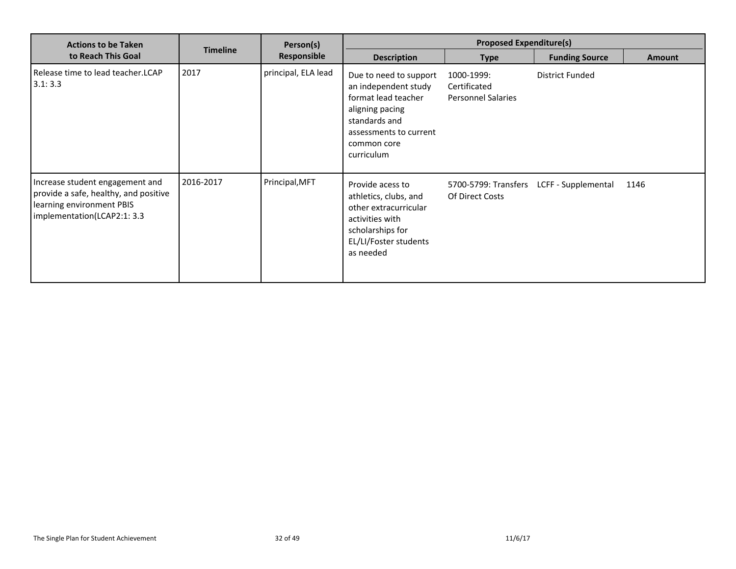| <b>Actions to be Taken</b>                                                                                                           |                 | Person(s)           | <b>Proposed Expenditure(s)</b>                                                                                                                                   |                                                         |                        |               |
|--------------------------------------------------------------------------------------------------------------------------------------|-----------------|---------------------|------------------------------------------------------------------------------------------------------------------------------------------------------------------|---------------------------------------------------------|------------------------|---------------|
| to Reach This Goal                                                                                                                   | <b>Timeline</b> | Responsible         | <b>Description</b>                                                                                                                                               | <b>Type</b>                                             | <b>Funding Source</b>  | <b>Amount</b> |
| Release time to lead teacher.LCAP<br>3.1:3.3                                                                                         | 2017            | principal, ELA lead | Due to need to support<br>an independent study<br>format lead teacher<br>aligning pacing<br>standards and<br>assessments to current<br>common core<br>curriculum | 1000-1999:<br>Certificated<br><b>Personnel Salaries</b> | <b>District Funded</b> |               |
| Increase student engagement and<br>provide a safe, healthy, and positive<br>learning environment PBIS<br>implementation(LCAP2:1: 3.3 | 2016-2017       | Principal, MFT      | Provide acess to<br>athletics, clubs, and<br>other extracurricular<br>activities with<br>scholarships for<br>EL/LI/Foster students<br>as needed                  | 5700-5799: Transfers<br>Of Direct Costs                 | LCFF - Supplemental    | 1146          |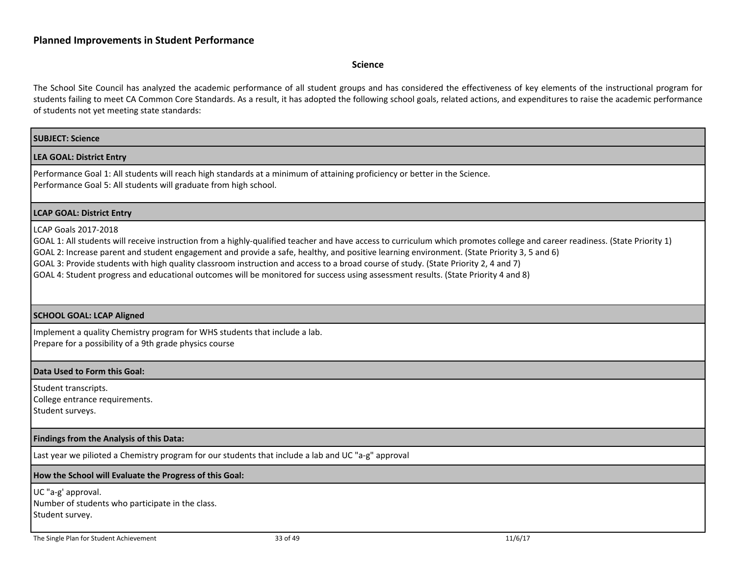#### <span id="page-32-0"></span>**Science**

The School Site Council has analyzed the academic performance of all student groups and has considered the effectiveness of key elements of the instructional program for students failing to meet CA Common Core Standards. As a result, it has adopted the following school goals, related actions, and expenditures to raise the academic performance of students not yet meeting state standards:

# **SUBJECT: Science LEA GOAL: District Entry** Performance Goal 1: All students will reach high standards at a minimum of attaining proficiency or better in the Science. Performance Goal 5: All students will graduate from high school. **LCAP GOAL: District Entry** LCAP Goals 2017-2018 GOAL 1: All students will receive instruction from a highly-qualified teacher and have access to curriculum which promotes college and career readiness. (State Priority 1) GOAL 2: Increase parent and student engagement and provide a safe, healthy, and positive learning environment. (State Priority 3, 5 and 6) GOAL 3: Provide students with high quality classroom instruction and access to a broad course of study. (State Priority 2, 4 and 7) GOAL 4: Student progress and educational outcomes will be monitored for success using assessment results. (State Priority 4 and 8) **SCHOOL GOAL: LCAP Aligned** Implement a quality Chemistry program for WHS students that include a lab. Prepare for a possibility of a 9th grade physics course **Data Used to Form this Goal:** Student transcripts. College entrance requirements. Student surveys. **Findings from the Analysis of this Data:** Last year we pilioted a Chemistry program for our students that include a lab and UC "a-g" approval **How the School will Evaluate the Progress of this Goal:** UC "a-g' approval. Number of students who participate in the class. Student survey.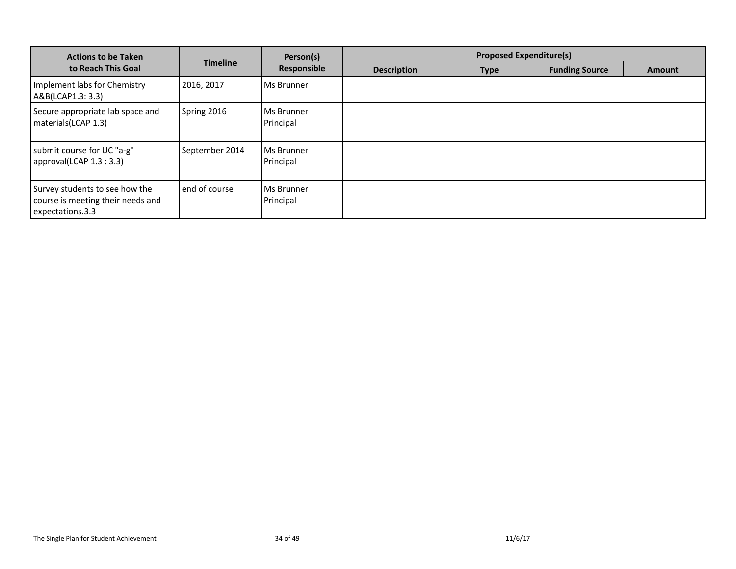| <b>Actions to be Taken</b>                                                              |                 | Person(s)               | <b>Proposed Expenditure(s)</b> |             |                       |               |
|-----------------------------------------------------------------------------------------|-----------------|-------------------------|--------------------------------|-------------|-----------------------|---------------|
| to Reach This Goal                                                                      | <b>Timeline</b> | Responsible             | <b>Description</b>             | <b>Type</b> | <b>Funding Source</b> | <b>Amount</b> |
| Implement labs for Chemistry<br>A&B(LCAP1.3: 3.3)                                       | 2016, 2017      | Ms Brunner              |                                |             |                       |               |
| Secure appropriate lab space and<br>materials(LCAP 1.3)                                 | Spring 2016     | Ms Brunner<br>Principal |                                |             |                       |               |
| submit course for UC "a-g"<br>approval(LCAP 1.3 : 3.3)                                  | September 2014  | Ms Brunner<br>Principal |                                |             |                       |               |
| Survey students to see how the<br>course is meeting their needs and<br>expectations.3.3 | end of course   | Ms Brunner<br>Principal |                                |             |                       |               |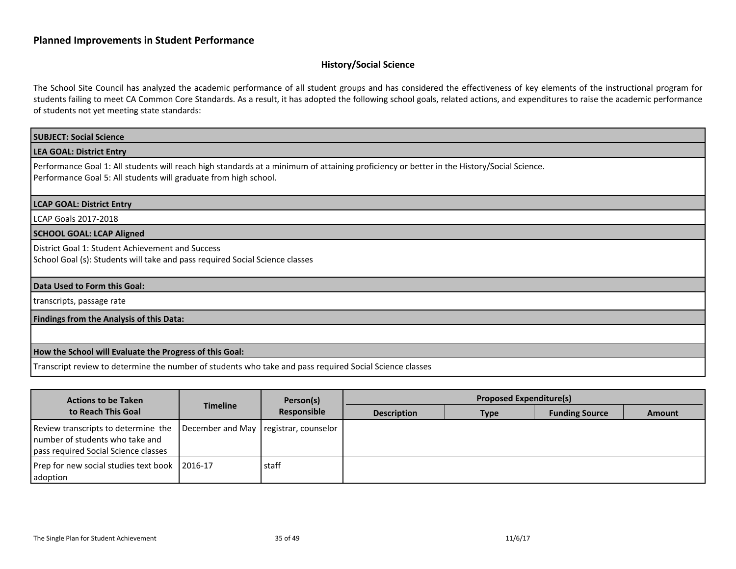## <span id="page-34-0"></span>**History/Social Science**

The School Site Council has analyzed the academic performance of all student groups and has considered the effectiveness of key elements of the instructional program for students failing to meet CA Common Core Standards. As a result, it has adopted the following school goals, related actions, and expenditures to raise the academic performance of students not yet meeting state standards:

| <b>SUBJECT: Social Science</b>                                                                                                                                                                                |
|---------------------------------------------------------------------------------------------------------------------------------------------------------------------------------------------------------------|
| <b>LEA GOAL: District Entry</b>                                                                                                                                                                               |
| Performance Goal 1: All students will reach high standards at a minimum of attaining proficiency or better in the History/Social Science.<br>Performance Goal 5: All students will graduate from high school. |
| <b>LCAP GOAL: District Entry</b>                                                                                                                                                                              |
| LCAP Goals 2017-2018                                                                                                                                                                                          |
| <b>SCHOOL GOAL: LCAP Aligned</b>                                                                                                                                                                              |
| District Goal 1: Student Achievement and Success<br>School Goal (s): Students will take and pass required Social Science classes                                                                              |
| Data Used to Form this Goal:                                                                                                                                                                                  |
| transcripts, passage rate                                                                                                                                                                                     |
| Findings from the Analysis of this Data:                                                                                                                                                                      |
|                                                                                                                                                                                                               |
| How the School will Evaluate the Progress of this Goal:                                                                                                                                                       |
| Transcript review to determine the number of students who take and pass required Social Science classes                                                                                                       |

| <b>Actions to be Taken</b>                                                                                     |                                        | Person(s)   |                    | <b>Proposed Expenditure(s)</b> |                       |               |
|----------------------------------------------------------------------------------------------------------------|----------------------------------------|-------------|--------------------|--------------------------------|-----------------------|---------------|
| to Reach This Goal                                                                                             | <b>Timeline</b>                        | Responsible | <b>Description</b> | <b>Type</b>                    | <b>Funding Source</b> | <b>Amount</b> |
| Review transcripts to determine the<br>number of students who take and<br>pass required Social Science classes | December and May Tregistrar, counselor |             |                    |                                |                       |               |
| Prep for new social studies text book   2016-17<br>l adoption                                                  |                                        | staff       |                    |                                |                       |               |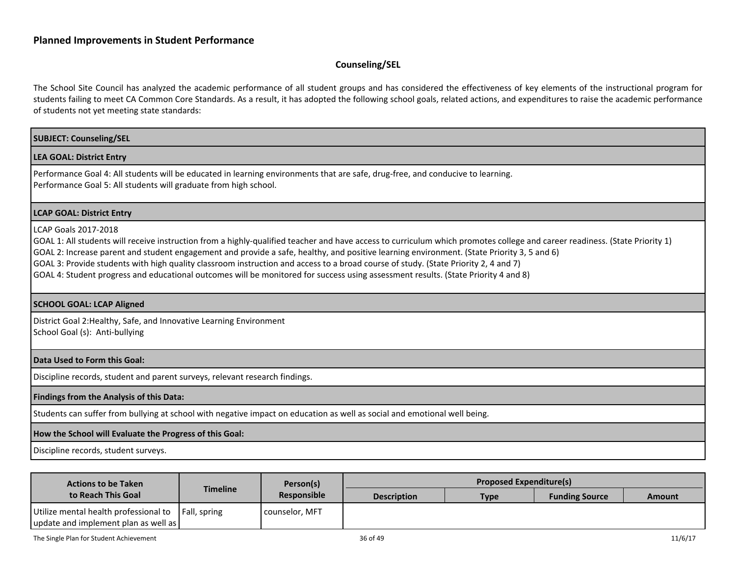#### <span id="page-35-0"></span>**Counseling/SEL**

The School Site Council has analyzed the academic performance of all student groups and has considered the effectiveness of key elements of the instructional program for students failing to meet CA Common Core Standards. As a result, it has adopted the following school goals, related actions, and expenditures to raise the academic performance of students not yet meeting state standards:

# **SUBJECT: Counseling/SEL LEA GOAL: District Entry** Performance Goal 4: All students will be educated in learning environments that are safe, drug-free, and conducive to learning. Performance Goal 5: All students will graduate from high school. **LCAP GOAL: District Entry** LCAP Goals 2017-2018 GOAL 1: All students will receive instruction from a highly-qualified teacher and have access to curriculum which promotes college and career readiness. (State Priority 1) GOAL 2: Increase parent and student engagement and provide a safe, healthy, and positive learning environment. (State Priority 3, 5 and 6) GOAL 3: Provide students with high quality classroom instruction and access to a broad course of study. (State Priority 2, 4 and 7) GOAL 4: Student progress and educational outcomes will be monitored for success using assessment results. (State Priority 4 and 8)

#### **SCHOOL GOAL: LCAP Aligned**

District Goal 2:Healthy, Safe, and Innovative Learning Environment School Goal (s): Anti-bullying

#### **Data Used to Form this Goal:**

Discipline records, student and parent surveys, relevant research findings.

#### **Findings from the Analysis of this Data:**

Students can suffer from bullying at school with negative impact on education as well as social and emotional well being.

#### **How the School will Evaluate the Progress of this Goal:**

Discipline records, student surveys.

| <b>Actions to be Taken</b>                                                                     |          | Person(s)          |                    | <b>Proposed Expenditure(s)</b> |                       |               |
|------------------------------------------------------------------------------------------------|----------|--------------------|--------------------|--------------------------------|-----------------------|---------------|
| to Reach This Goal                                                                             | Timeline | <b>Responsible</b> | <b>Description</b> | <b>Type</b>                    | <b>Funding Source</b> | <b>Amount</b> |
| Utilize mental health professional to   Fall, spring<br>  update and implement plan as well as |          | l counselor. MFT   |                    |                                |                       |               |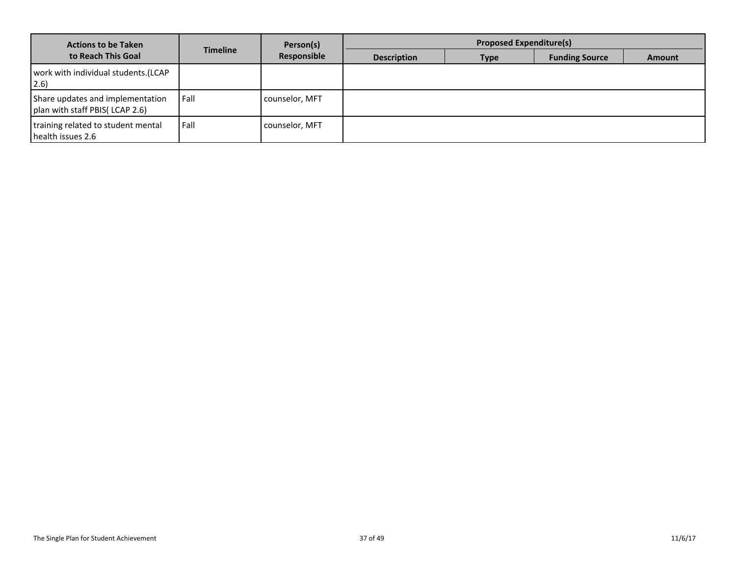| <b>Actions to be Taken</b>                                         |                 | Person(s)      |                    | <b>Proposed Expenditure(s)</b> |                       |               |
|--------------------------------------------------------------------|-----------------|----------------|--------------------|--------------------------------|-----------------------|---------------|
| to Reach This Goal                                                 | <b>Timeline</b> | Responsible    | <b>Description</b> | <b>Type</b>                    | <b>Funding Source</b> | <b>Amount</b> |
| work with individual students.(LCAP<br>$ 2.6\rangle$               |                 |                |                    |                                |                       |               |
| Share updates and implementation<br>plan with staff PBIS(LCAP 2.6) | Fall            | counselor, MFT |                    |                                |                       |               |
| training related to student mental<br>health issues 2.6            | Fall            | counselor, MFT |                    |                                |                       |               |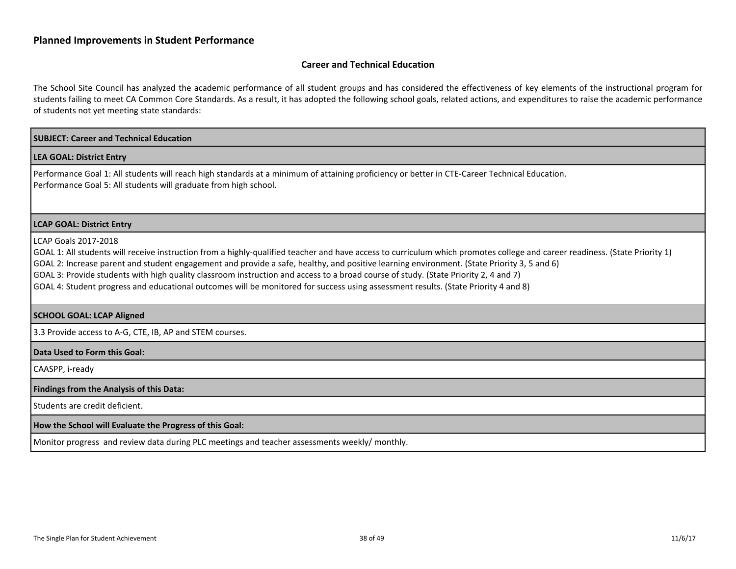#### <span id="page-37-0"></span>**Career and Technical Education**

The School Site Council has analyzed the academic performance of all student groups and has considered the effectiveness of key elements of the instructional program for students failing to meet CA Common Core Standards. As a result, it has adopted the following school goals, related actions, and expenditures to raise the academic performance of students not yet meeting state standards:

# **SUBJECT: Career and Technical Education LEA GOAL: District Entry** Performance Goal 1: All students will reach high standards at a minimum of attaining proficiency or better in CTE-Career Technical Education. Performance Goal 5: All students will graduate from high school. **LCAP GOAL: District Entry** LCAP Goals 2017-2018 GOAL 1: All students will receive instruction from a highly-qualified teacher and have access to curriculum which promotes college and career readiness. (State Priority 1) GOAL 2: Increase parent and student engagement and provide a safe, healthy, and positive learning environment. (State Priority 3, 5 and 6) GOAL 3: Provide students with high quality classroom instruction and access to a broad course of study. (State Priority 2, 4 and 7) GOAL 4: Student progress and educational outcomes will be monitored for success using assessment results. (State Priority 4 and 8) **SCHOOL GOAL: LCAP Aligned** 3.3 Provide access to A-G, CTE, IB, AP and STEM courses. **Data Used to Form this Goal:** CAASPP, i-ready **Findings from the Analysis of this Data:** Students are credit deficient. **How the School will Evaluate the Progress of this Goal:** Monitor progress and review data during PLC meetings and teacher assessments weekly/ monthly.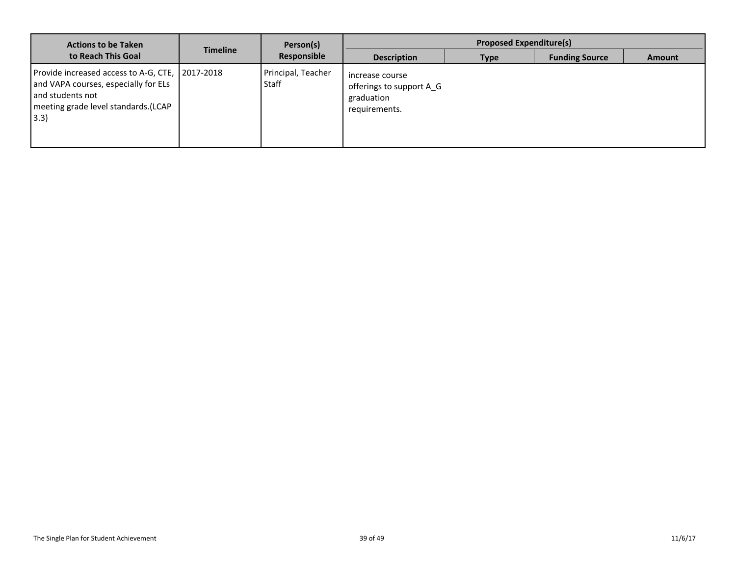| <b>Actions to be Taken</b>                                                                                                                                 |                 | Person(s)                   |                                                                            | <b>Proposed Expenditure(s)</b> |                       |               |
|------------------------------------------------------------------------------------------------------------------------------------------------------------|-----------------|-----------------------------|----------------------------------------------------------------------------|--------------------------------|-----------------------|---------------|
| to Reach This Goal                                                                                                                                         | <b>Timeline</b> | Responsible                 | <b>Description</b>                                                         | <b>Type</b>                    | <b>Funding Source</b> | <b>Amount</b> |
| Provide increased access to A-G, CTE, 2017-2018<br>and VAPA courses, especially for ELs<br>and students not<br>meeting grade level standards.(LCAP<br>3.3) |                 | Principal, Teacher<br>Staff | increase course<br>offerings to support A G<br>graduation<br>requirements. |                                |                       |               |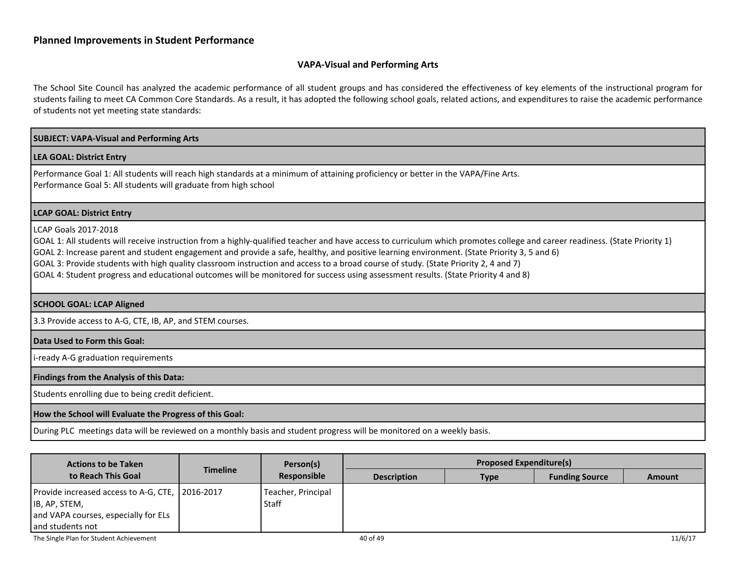#### <span id="page-39-0"></span>**VAPA-Visual and Performing Arts**

The School Site Council has analyzed the academic performance of all student groups and has considered the effectiveness of key elements of the instructional program for students failing to meet CA Common Core Standards. As a result, it has adopted the following school goals, related actions, and expenditures to raise the academic performance of students not yet meeting state standards:

# **SUBJECT: VAPA-Visual and Performing Arts LEA GOAL: District Entry** Performance Goal 1: All students will reach high standards at a minimum of attaining proficiency or better in the VAPA/Fine Arts. Performance Goal 5: All students will graduate from high school **LCAP GOAL: District Entry** LCAP Goals 2017-2018 GOAL 1: All students will receive instruction from a highly-qualified teacher and have access to curriculum which promotes college and career readiness. (State Priority 1) GOAL 2: Increase parent and student engagement and provide a safe, healthy, and positive learning environment. (State Priority 3, 5 and 6) GOAL 3: Provide students with high quality classroom instruction and access to a broad course of study. (State Priority 2, 4 and 7) GOAL 4: Student progress and educational outcomes will be monitored for success using assessment results. (State Priority 4 and 8) **SCHOOL GOAL: LCAP Aligned** 3.3 Provide access to A-G, CTE, IB, AP, and STEM courses. **Data Used to Form this Goal: i-ready A-G graduation requirements Findings from the Analysis of this Data:** Students enrolling due to being credit deficient. **How the School will Evaluate the Progress of this Goal:** During PLC meetings data will be reviewed on a monthly basis and student progress will be monitored on a weekly basis.

| <b>Actions to be Taken</b>                                                                                                     |                 | Person(s)<br>Responsible    |                    | <b>Proposed Expenditure(s)</b> |                       |               |
|--------------------------------------------------------------------------------------------------------------------------------|-----------------|-----------------------------|--------------------|--------------------------------|-----------------------|---------------|
| to Reach This Goal                                                                                                             | <b>Timeline</b> |                             | <b>Description</b> | Type                           | <b>Funding Source</b> | <b>Amount</b> |
| Provide increased access to A-G, CTE, 2016-2017<br>IB, AP, STEM,<br>and VAPA courses, especially for ELs<br>I and students not |                 | Teacher, Principal<br>Staff |                    |                                |                       |               |
| The Single Plan for Student Achievement                                                                                        |                 |                             | 40 of 49           |                                |                       | 11/6/17       |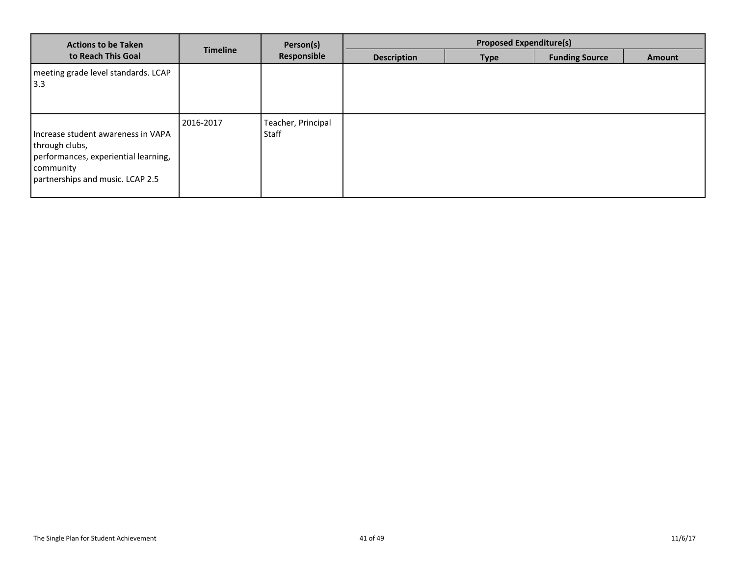| <b>Actions to be Taken</b>                                                                                                                    |                 | Person(s)                   |                    | <b>Proposed Expenditure(s)</b> |                       |               |
|-----------------------------------------------------------------------------------------------------------------------------------------------|-----------------|-----------------------------|--------------------|--------------------------------|-----------------------|---------------|
| to Reach This Goal                                                                                                                            | <b>Timeline</b> | Responsible                 | <b>Description</b> | <b>Type</b>                    | <b>Funding Source</b> | <b>Amount</b> |
| meeting grade level standards. LCAP<br>3.3                                                                                                    |                 |                             |                    |                                |                       |               |
| Increase student awareness in VAPA<br>through clubs,<br>performances, experiential learning,<br>community<br>partnerships and music. LCAP 2.5 | 2016-2017       | Teacher, Principal<br>Staff |                    |                                |                       |               |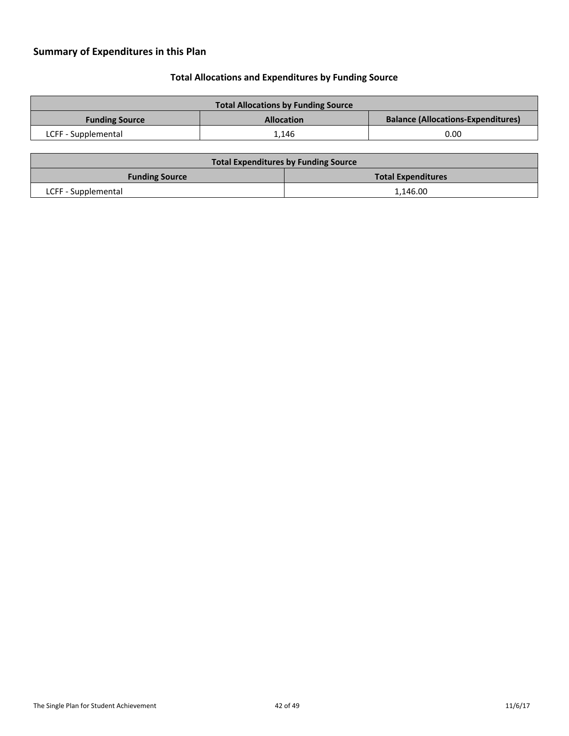# <span id="page-41-0"></span>**Summary of Expenditures in this Plan**

# <span id="page-41-1"></span>**Total Allocations and Expenditures by Funding Source**

| <b>Total Allocations by Funding Source</b>                                              |       |      |  |  |
|-----------------------------------------------------------------------------------------|-------|------|--|--|
| <b>Balance (Allocations-Expenditures)</b><br><b>Allocation</b><br><b>Funding Source</b> |       |      |  |  |
| LCFF - Supplemental                                                                     | 1.146 | 0.00 |  |  |

| <b>Total Expenditures by Funding Source</b> |                           |  |  |  |
|---------------------------------------------|---------------------------|--|--|--|
| <b>Funding Source</b>                       | <b>Total Expenditures</b> |  |  |  |
| LCFF - Supplemental                         | 1.146.00                  |  |  |  |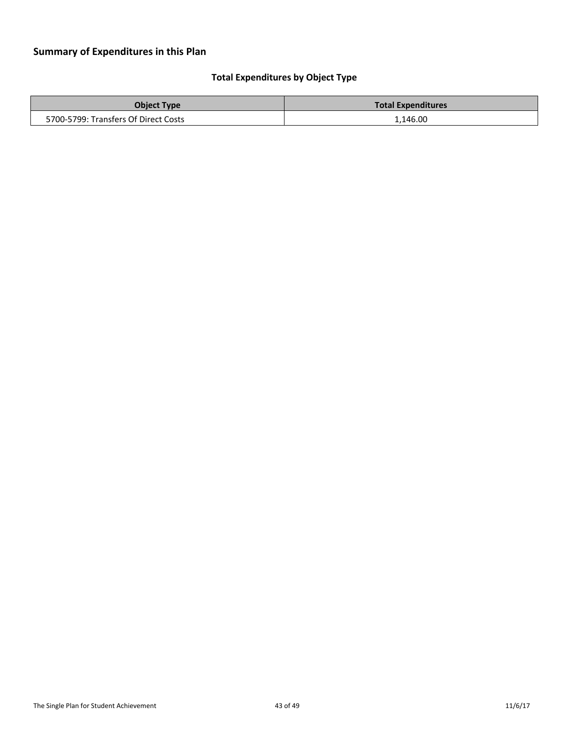# <span id="page-42-0"></span>**Total Expenditures by Object Type**

| <b>Object Type</b>                   | <b>Total Expenditures</b> |
|--------------------------------------|---------------------------|
| 5700-5799: Transfers Of Direct Costs | 1,146.00                  |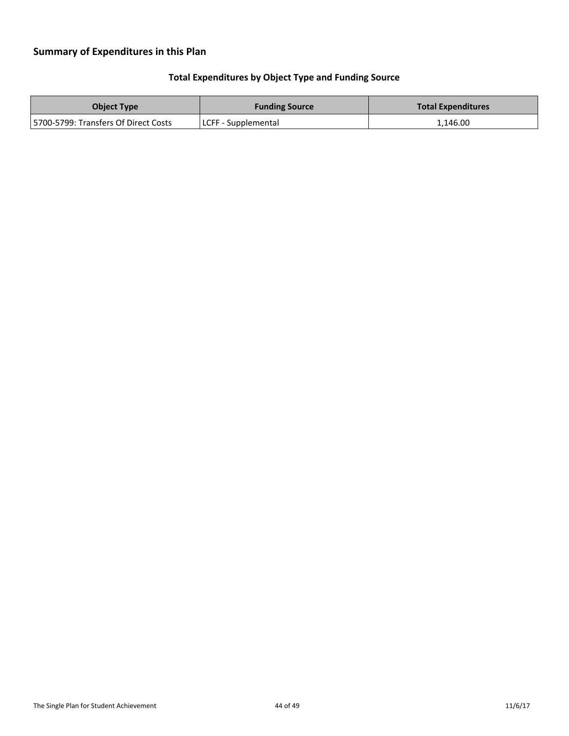# **Summary of Expenditures in this Plan**

# <span id="page-43-0"></span>**Total Expenditures by Object Type and Funding Source**

| <b>Object Type</b>                    | <b>Funding Source</b> | <b>Total Expenditures</b> |
|---------------------------------------|-----------------------|---------------------------|
| 15700-5799: Transfers Of Direct Costs | LCFF - Supplemental   | 1,146.00                  |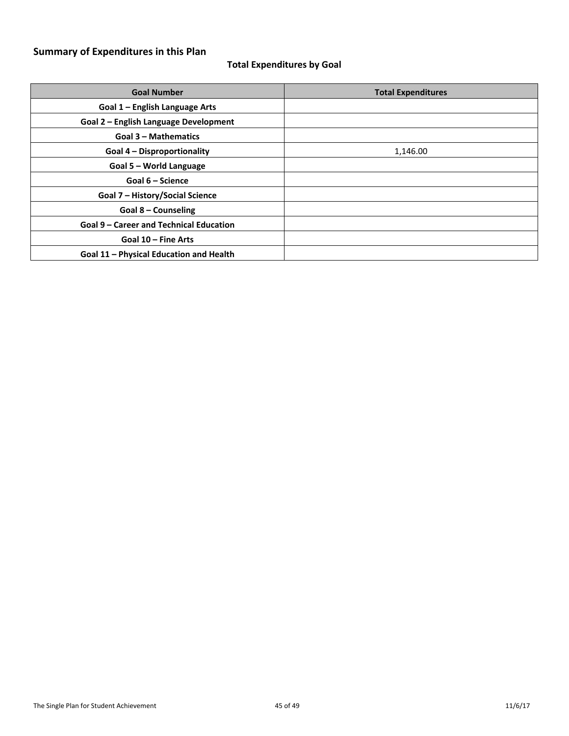# **Summary of Expenditures in this Plan**

# <span id="page-44-0"></span>**Total Expenditures by Goal**

| <b>Goal Number</b>                             | <b>Total Expenditures</b> |
|------------------------------------------------|---------------------------|
| Goal 1 – English Language Arts                 |                           |
| Goal 2 – English Language Development          |                           |
| <b>Goal 3 - Mathematics</b>                    |                           |
| <b>Goal 4 - Disproportionality</b>             | 1,146.00                  |
| Goal 5 - World Language                        |                           |
| Goal 6 - Science                               |                           |
| Goal 7 - History/Social Science                |                           |
| Goal 8 – Counseling                            |                           |
| <b>Goal 9 - Career and Technical Education</b> |                           |
| Goal 10 - Fine Arts                            |                           |
| Goal 11 - Physical Education and Health        |                           |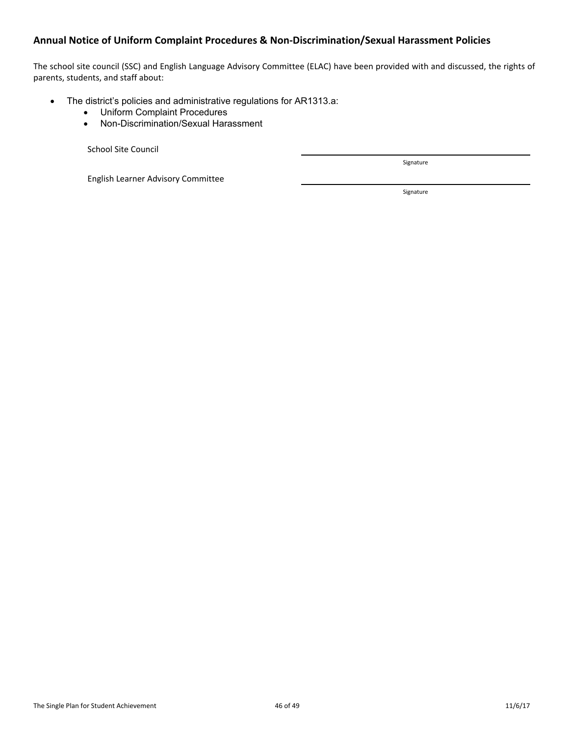## <span id="page-45-0"></span>**Annual Notice of Uniform Complaint Procedures & Non-Discrimination/Sexual Harassment Policies**

The school site council (SSC) and English Language Advisory Committee (ELAC) have been provided with and discussed, the rights of parents, students, and staff about:

- The district's policies and administrative regulations for AR1313.a:
	- Uniform Complaint Procedures
	- Non-Discrimination/Sexual Harassment

School Site Council

English Learner Advisory Committee

Signature

Signature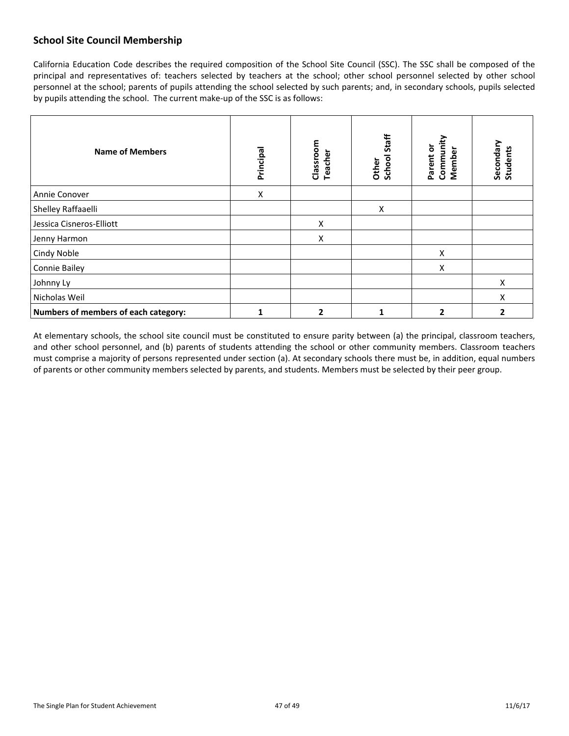# <span id="page-46-0"></span>**School Site Council Membership**

California Education Code describes the required composition of the School Site Council (SSC). The SSC shall be composed of the principal and representatives of: teachers selected by teachers at the school; other school personnel selected by other school personnel at the school; parents of pupils attending the school selected by such parents; and, in secondary schools, pupils selected by pupils attending the school. The current make-up of the SSC is as follows:

| <b>Name of Members</b>               | Principal | Classroom<br><b>Teacher</b> | Staff<br>School<br>Other | Community<br>Parent or<br>Member | Secondary<br>Students |
|--------------------------------------|-----------|-----------------------------|--------------------------|----------------------------------|-----------------------|
| Annie Conover                        | Χ         |                             |                          |                                  |                       |
| Shelley Raffaaelli                   |           |                             | X                        |                                  |                       |
| Jessica Cisneros-Elliott             |           | X                           |                          |                                  |                       |
| Jenny Harmon                         |           | X                           |                          |                                  |                       |
| Cindy Noble                          |           |                             |                          | X                                |                       |
| Connie Bailey                        |           |                             |                          | X                                |                       |
| Johnny Ly                            |           |                             |                          |                                  | Χ                     |
| Nicholas Weil                        |           |                             |                          |                                  | X                     |
| Numbers of members of each category: |           | 2                           | 1                        | $\overline{2}$                   | 2                     |

At elementary schools, the school site council must be constituted to ensure parity between (a) the principal, classroom teachers, and other school personnel, and (b) parents of students attending the school or other community members. Classroom teachers must comprise a majority of persons represented under section (a). At secondary schools there must be, in addition, equal numbers of parents or other community members selected by parents, and students. Members must be selected by their peer group.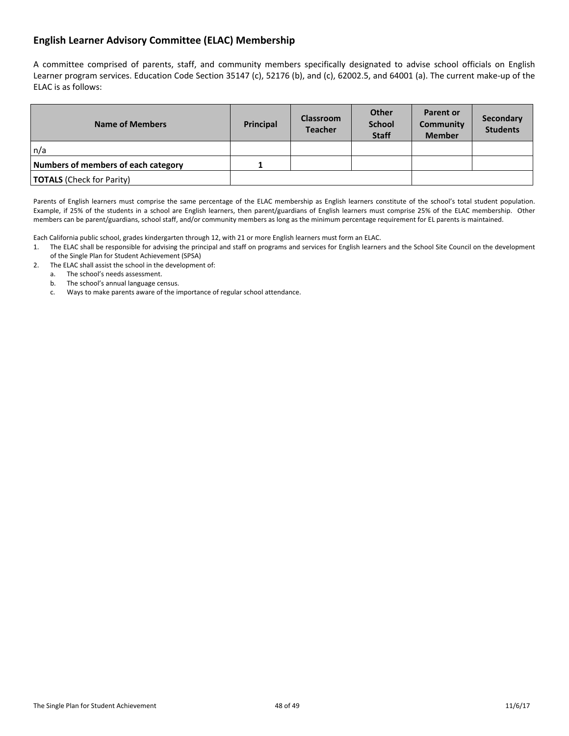# <span id="page-47-0"></span>**English Learner Advisory Committee (ELAC) Membership**

A committee comprised of parents, staff, and community members specifically designated to advise school officials on English Learner program services. Education Code Section 35147 (c), 52176 (b), and (c), 62002.5, and 64001 (a). The current make-up of the ELAC is as follows:

| <b>Name of Members</b>              | Principal | <b>Classroom</b><br><b>Teacher</b> | Other<br><b>School</b><br><b>Staff</b> | <b>Parent or</b><br>Community<br><b>Member</b> | Secondary<br><b>Students</b> |
|-------------------------------------|-----------|------------------------------------|----------------------------------------|------------------------------------------------|------------------------------|
| n/a                                 |           |                                    |                                        |                                                |                              |
| Numbers of members of each category |           |                                    |                                        |                                                |                              |
| <b>TOTALS</b> (Check for Parity)    |           |                                    |                                        |                                                |                              |

Parents of English learners must comprise the same percentage of the ELAC membership as English learners constitute of the school's total student population. Example, if 25% of the students in a school are English learners, then parent/guardians of English learners must comprise 25% of the ELAC membership. Other members can be parent/guardians, school staff, and/or community members as long as the minimum percentage requirement for EL parents is maintained.

Each California public school, grades kindergarten through 12, with 21 or more English learners must form an ELAC.

- 1. The ELAC shall be responsible for advising the principal and staff on programs and services for English learners and the School Site Council on the development of the Single Plan for Student Achievement (SPSA)
- 2. The ELAC shall assist the school in the development of:
	- a. The school's needs assessment.
	- b. The school's annual language census.
	- c. Ways to make parents aware of the importance of regular school attendance.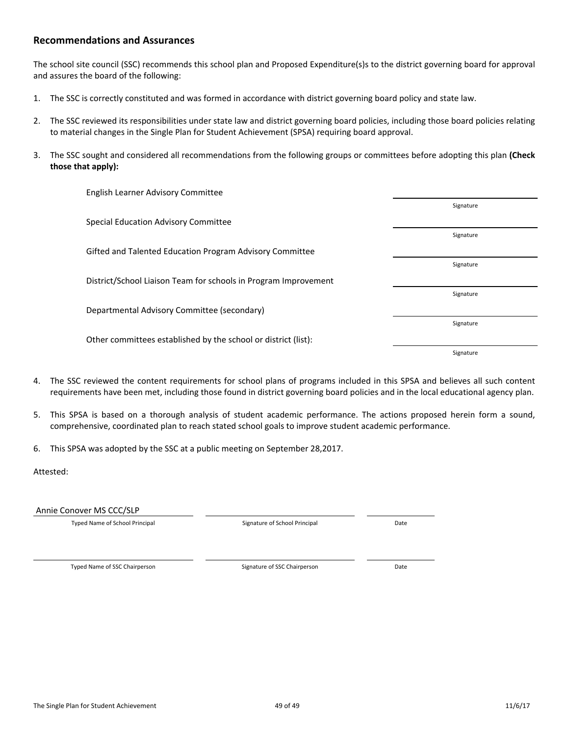#### <span id="page-48-0"></span>**Recommendations and Assurances**

The school site council (SSC) recommends this school plan and Proposed Expenditure(s)s to the district governing board for approval and assures the board of the following:

- 1. The SSC is correctly constituted and was formed in accordance with district governing board policy and state law.
- 2. The SSC reviewed its responsibilities under state law and district governing board policies, including those board policies relating to material changes in the Single Plan for Student Achievement (SPSA) requiring board approval.
- 3. The SSC sought and considered all recommendations from the following groups or committees before adopting this plan **(Check those that apply):**

| English Learner Advisory Committee                              |           |
|-----------------------------------------------------------------|-----------|
|                                                                 | Signature |
| Special Education Advisory Committee                            |           |
|                                                                 | Signature |
| Gifted and Talented Education Program Advisory Committee        |           |
|                                                                 | Signature |
| District/School Liaison Team for schools in Program Improvement |           |
|                                                                 | Signature |
| Departmental Advisory Committee (secondary)                     |           |
|                                                                 | Signature |
| Other committees established by the school or district (list):  |           |
|                                                                 | Signature |
|                                                                 |           |

- 4. The SSC reviewed the content requirements for school plans of programs included in this SPSA and believes all such content requirements have been met, including those found in district governing board policies and in the local educational agency plan.
- 5. This SPSA is based on a thorough analysis of student academic performance. The actions proposed herein form a sound, comprehensive, coordinated plan to reach stated school goals to improve student academic performance.
- 6. This SPSA was adopted by the SSC at a public meeting on September 28,2017.

#### Attested:

Annie Conover MS CCC/SLP

Typed Name of School Principal **Signature of School Principal Cate** 

Typed Name of SSC Chairperson Date Chairperson Signature of SSC Chairperson Date

The Single Plan for Student Achievement 11/6/17 and 11/6/17 and 11/6/17 and 11/6/17 and 11/6/17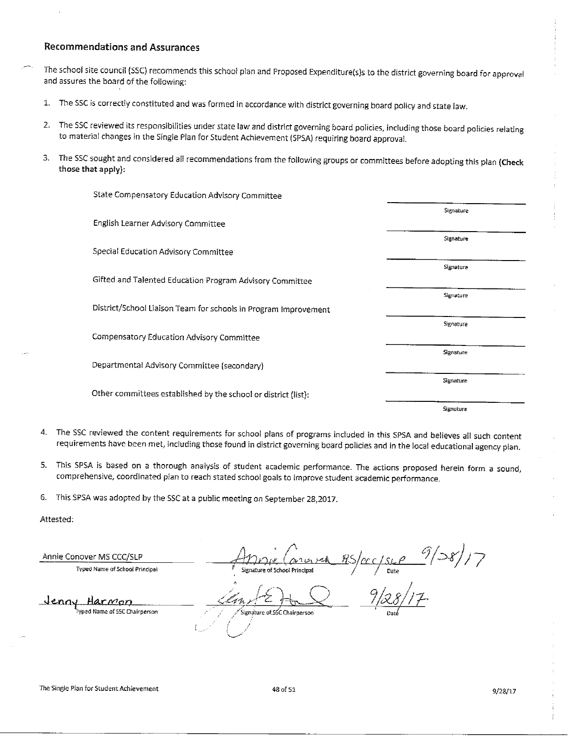#### **Recommendations and Assurances**

The school site council (SSC) recommends this school plan and Proposed Expenditure(s)s to the district governing board for approval and assures the board of the following:

- 1. The SSC is correctly constituted and was formed in accordance with district governing board policy and state law.
- The SSC reviewed its responsibilities under state law and district governing board policies, including those board policies relating  $2.$ to material changes in the Single Plan for Student Achievement (SPSA) requiring board approval.
- $3.$ The SSC sought and considered all recommendations from the following groups or committees before adopting this plan (Check those that apply):

| State Compensatory Education Advisory Committee                 |           |
|-----------------------------------------------------------------|-----------|
|                                                                 | Signature |
| English Learner Advisory Committee                              |           |
|                                                                 | Signature |
| Special Education Advisory Committee                            |           |
| Gifted and Talented Education Program Advisory Committee        | Signature |
|                                                                 | Signature |
| District/School Liaison Team for schools in Program Improvement |           |
|                                                                 | Signature |
| Compensatory Education Advisory Committee                       |           |
|                                                                 | Signature |
| Departmental Advisory Committee (secondary)                     |           |
|                                                                 | Signature |
| Other committees established by the school or district (list):  |           |
|                                                                 | Signature |

- 4. The SSC reviewed the content requirements for school plans of programs included in this SPSA and believes all such content requirements have been met, including those found in district governing board policies and in the local educational agency plan.
- 5. This SPSA is based on a thorough analysis of student academic performance. The actions proposed herein form a sound, comprehensive, coordinated plan to reach stated school goals to improve student academic performance.
- 6. This SPSA was adopted by the SSC at a public meeting on September 28,2017.

Attested:

Annie Conover MS CCC/SLP

Typed Name of School Principal

 $\frac{c}{\frac{c}{\frac{2c}{\frac{6ac}{c}}}}$  9/28/17 School Princinal

Jenny Harmon

Signature of SSC Chairperson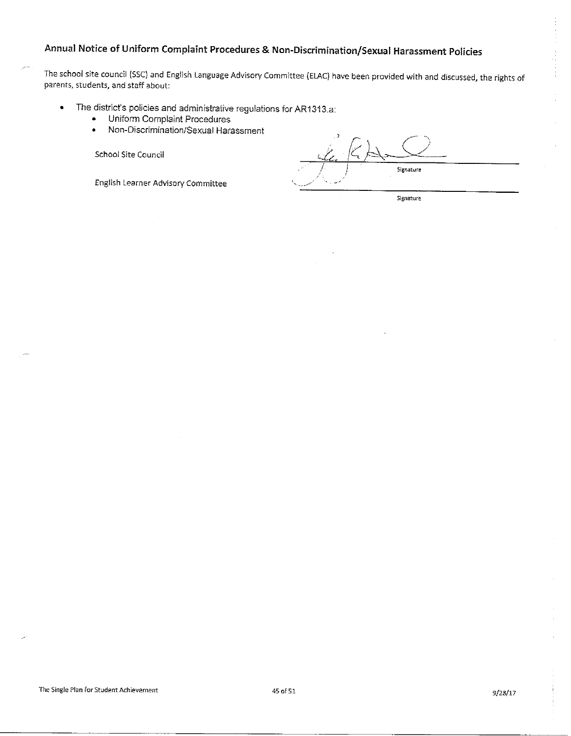# Annual Notice of Uniform Complaint Procedures & Non-Discrimination/Sexual Harassment Policies

The school site council (SSC) and English Language Advisory Committee (ELAC) have been provided with and discussed, the rights of parents, students, and staff about:

- The district's policies and administrative regulations for AR1313.a:  $\bullet$ 
	- $\bullet$ Uniform Complaint Procedures
	- Non-Discrimination/Sexual Harassment  $\bullet$

School Site Council

English Learner Advisory Committee

Signature

Signature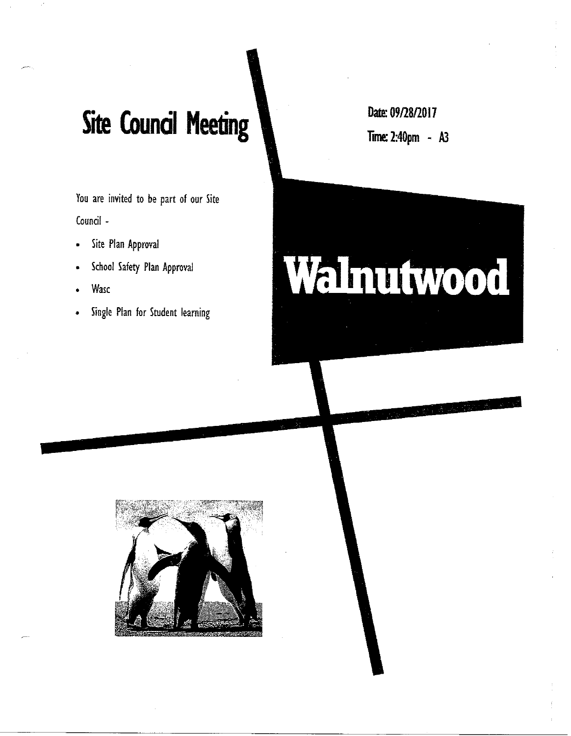# **Site Council Meeting**

You are invited to be part of our Site Council -

- Site Plan Approval  $\bullet$
- School Safety Plan Approval
- Wasc
- Single Plan for Student learning

Date: 09/28/2017 **Time: 2:40pm - A3** 



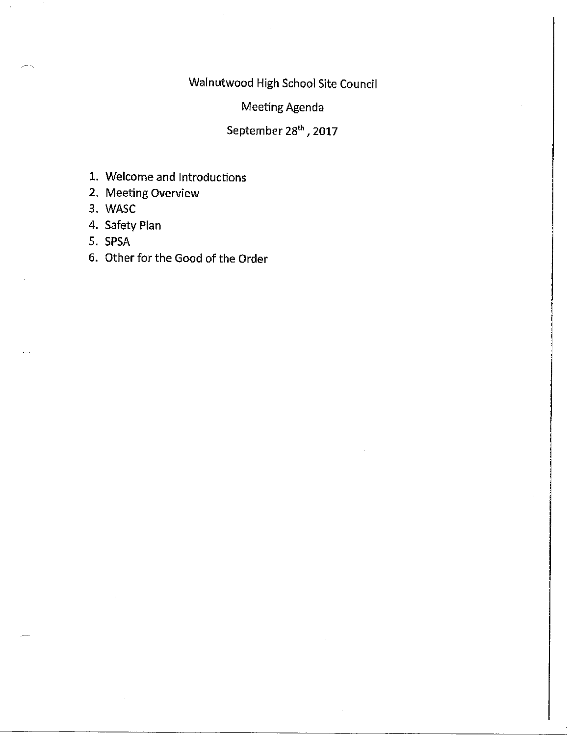Walnutwood High School Site Council

Meeting Agenda

September 28<sup>th</sup>, 2017

- 1. Welcome and Introductions
- 2. Meeting Overview
- 3. WASC
- 4. Safety Plan
- 5. SPSA
- 6. Other for the Good of the Order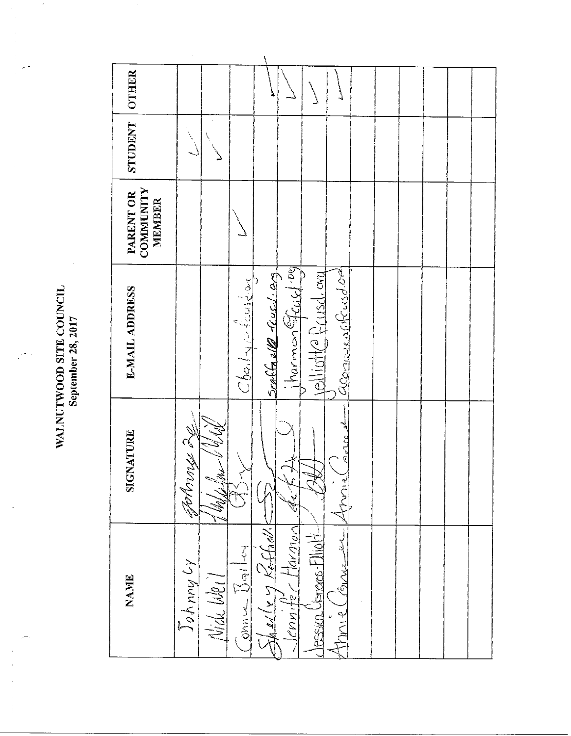WALNUTWOOD SITE COUNCIL September 28, 2017

**OTHER** STUDENT COMMUNITY PARENT OR **MEMBER** Scaffaell resed: 03 aconoused (Acusdor)  $Cb$ al $\sim$ l $\sim$ toit $\sim$ **E-MAIL ADDRESS**  $\approx$   $\sqrt{2}$   $\cos \frac{1}{2}$ Fotbruce 20 SIGNATURE Vincent Shelle y Raffall.  $\le$  Jennife L Harmon -Jessica Generos-Fliott-Jackson  $\frac{1}{2}$ Johnny Ly (GIVVLE) Nide Weil **NAME** Amner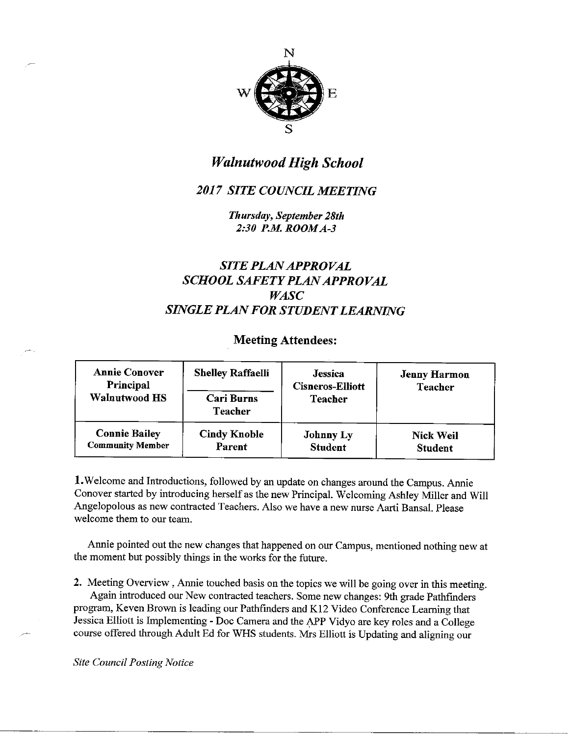

# **Walnutwood High School**

# **2017 SITE COUNCIL MEETING**

Thursday, September 28th 2:30 P.M. ROOM A-3

# **SITE PLAN APPROVAL SCHOOL SAFETY PLAN APPROVAL WASC SINGLE PLAN FOR STUDENT LEARNING**

# **Meeting Attendees:**

| <b>Annie Conover</b><br>Principal<br>Walnutwood HS | <b>Shelley Raffaelli</b><br><b>Cari Burns</b><br><b>Teacher</b> | <b>Jessica</b><br><b>Cisneros-Elliott</b><br><b>Teacher</b> | <b>Jenny Harmon</b><br><b>Teacher</b> |
|----------------------------------------------------|-----------------------------------------------------------------|-------------------------------------------------------------|---------------------------------------|
| <b>Connie Bailey</b>                               | <b>Cindy Knoble</b>                                             | <b>Johnny Ly</b>                                            | <b>Nick Weil</b>                      |
| <b>Community Member</b>                            | Parent                                                          | <b>Student</b>                                              | <b>Student</b>                        |

1. Welcome and Introductions, followed by an update on changes around the Campus. Annie Conover started by introducing herself as the new Principal. Welcoming Ashley Miller and Will Angelopolous as new contracted Teachers. Also we have a new nurse Aarti Bansal. Please welcome them to our team.

Annie pointed out the new changes that happened on our Campus, mentioned nothing new at the moment but possibly things in the works for the future.

2. Meeting Overview, Annie touched basis on the topics we will be going over in this meeting. Again introduced our New contracted teachers. Some new changes: 9th grade Pathfinders program, Keven Brown is leading our Pathfinders and K12 Video Conference Learning that Jessica Elliott is Implementing - Doc Camera and the APP Vidyo are key roles and a College course offered through Adult Ed for WHS students. Mrs Elliott is Updating and aligning our

**Site Council Posting Notice**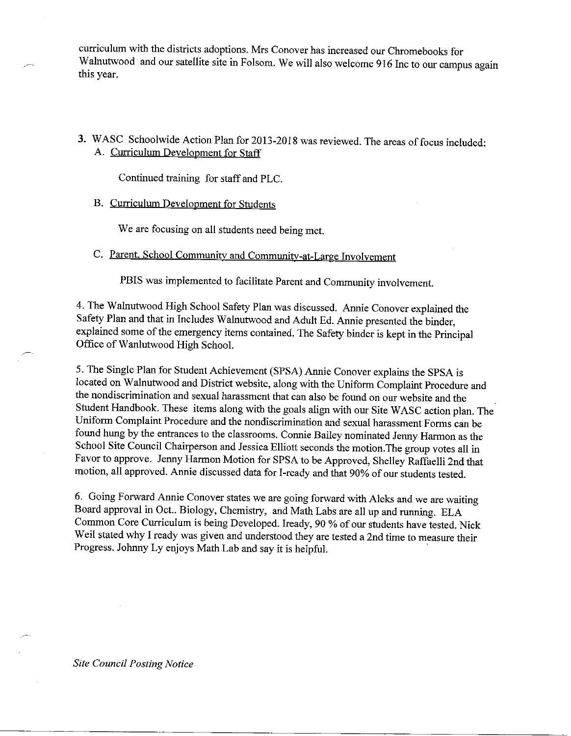curriculum with the districts adoptions. Mrs Conover has increased our Chromebooks for Walnutwood and our satellite site in Folsom. We will also welcome 916 Inc to our campus again this year.

3. WASC Schoolwide Action Plan for 2013-2018 was reviewed. The areas of focus included: A. Curriculum Development for Staff

Continued training for staff and PLC.

B. Curriculum Development for Students

We are focusing on all students need being met.

C. Parent, School Community and Community-at-Large Involvement

PBIS was implemented to facilitate Parent and Community involvement.

4. The Walnutwood High School Safety Plan was discussed. Annie Conover explained the Safety Plan and that in Includes Walnutwood and Adult Ed. Annie presented the binder, explained some of the emergency items contained. The Safety binder is kept in the Principal Office of Wanlutwood High School.

5. The Single Plan for Student Achievement (SPSA) Annie Conover explains the SPSA is located on Walnutwood and District website, along with the Uniform Complaint Procedure and the nondiscrimination and sexual harassment that can also be found on our website and the Student Handbook. These items along with the goals align with our Site WASC action plan. The Uniform Complaint Procedure and the nondiscrimination and sexual harassment Forms can be found hung by the entrances to the classrooms. Connie Bailey nominated Jenny Harmon as the School Site Council Chairperson and Jessica Elliott seconds the motion. The group votes all in Favor to approve. Jenny Harmon Motion for SPSA to be Approved, Shelley Raffaelli 2nd that motion, all approved. Annie discussed data for I-ready and that 90% of our students tested.

6. Going Forward Annie Conover states we are going forward with Aleks and we are waiting Board approval in Oct.. Biology, Chemistry, and Math Labs are all up and running. ELA Common Core Curriculum is being Developed. Iready, 90 % of our students have tested. Nick Weil stated why I ready was given and understood they are tested a 2nd time to measure their Progress. Johnny Ly enjoys Math Lab and say it is helpful.

**Site Council Posting Notice**